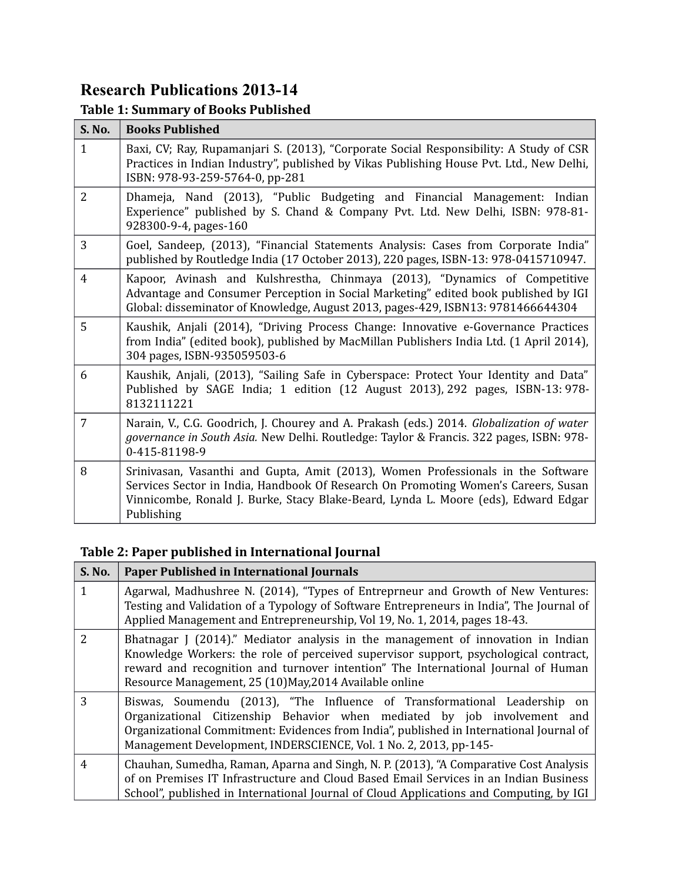# **Research Publications 2013-14**

## **Table 1: Summary of Books Published**

| S. No.         | <b>Books Published</b>                                                                                                                                                                                                                                                     |
|----------------|----------------------------------------------------------------------------------------------------------------------------------------------------------------------------------------------------------------------------------------------------------------------------|
| $\mathbf{1}$   | Baxi, CV; Ray, Rupamanjari S. (2013), "Corporate Social Responsibility: A Study of CSR<br>Practices in Indian Industry", published by Vikas Publishing House Pvt. Ltd., New Delhi,<br>ISBN: 978-93-259-5764-0, pp-281                                                      |
| $\overline{2}$ | Dhameja, Nand (2013), "Public Budgeting and Financial Management: Indian<br>Experience" published by S. Chand & Company Pvt. Ltd. New Delhi, ISBN: 978-81-<br>928300-9-4, pages-160                                                                                        |
| 3              | Goel, Sandeep, (2013), "Financial Statements Analysis: Cases from Corporate India"<br>published by Routledge India (17 October 2013), 220 pages, ISBN-13: 978-0415710947.                                                                                                  |
| $\overline{4}$ | Kapoor, Avinash and Kulshrestha, Chinmaya (2013), "Dynamics of Competitive<br>Advantage and Consumer Perception in Social Marketing" edited book published by IGI<br>Global: disseminator of Knowledge, August 2013, pages-429, ISBN13: 9781466644304                      |
| 5              | Kaushik, Anjali (2014), "Driving Process Change: Innovative e-Governance Practices<br>from India" (edited book), published by MacMillan Publishers India Ltd. (1 April 2014),<br>304 pages, ISBN-935059503-6                                                               |
| 6              | Kaushik, Anjali, (2013), "Sailing Safe in Cyberspace: Protect Your Identity and Data"<br>Published by SAGE India; 1 edition (12 August 2013), 292 pages, ISBN-13: 978-<br>8132111221                                                                                       |
| 7              | Narain, V., C.G. Goodrich, J. Chourey and A. Prakash (eds.) 2014. Globalization of water<br>governance in South Asia. New Delhi. Routledge: Taylor & Francis. 322 pages, ISBN: 978-<br>0-415-81198-9                                                                       |
| 8              | Srinivasan, Vasanthi and Gupta, Amit (2013), Women Professionals in the Software<br>Services Sector in India, Handbook Of Research On Promoting Women's Careers, Susan<br>Vinnicombe, Ronald J. Burke, Stacy Blake-Beard, Lynda L. Moore (eds), Edward Edgar<br>Publishing |

## **Table 2: Paper published in International Journal**

| <b>S. No.</b> | <b>Paper Published in International Journals</b>                                                                                                                                                                                                                                                                        |
|---------------|-------------------------------------------------------------------------------------------------------------------------------------------------------------------------------------------------------------------------------------------------------------------------------------------------------------------------|
| 1             | Agarwal, Madhushree N. (2014), "Types of Entreprneur and Growth of New Ventures:<br>Testing and Validation of a Typology of Software Entrepreneurs in India", The Journal of<br>Applied Management and Entrepreneurship, Vol 19, No. 1, 2014, pages 18-43.                                                              |
| $\mathcal{L}$ | Bhatnagar J (2014)." Mediator analysis in the management of innovation in Indian<br>Knowledge Workers: the role of perceived supervisor support, psychological contract,<br>reward and recognition and turnover intention" The International Journal of Human<br>Resource Management, 25 (10)May, 2014 Available online |
| 3             | Biswas, Soumendu (2013), "The Influence of Transformational Leadership on<br>Organizational Citizenship Behavior when mediated by job involvement and<br>Organizational Commitment: Evidences from India", published in International Journal of<br>Management Development, INDERSCIENCE, Vol. 1 No. 2, 2013, pp-145-   |
| 4             | Chauhan, Sumedha, Raman, Aparna and Singh, N. P. (2013), "A Comparative Cost Analysis<br>of on Premises IT Infrastructure and Cloud Based Email Services in an Indian Business<br>School", published in International Journal of Cloud Applications and Computing, by IGI                                               |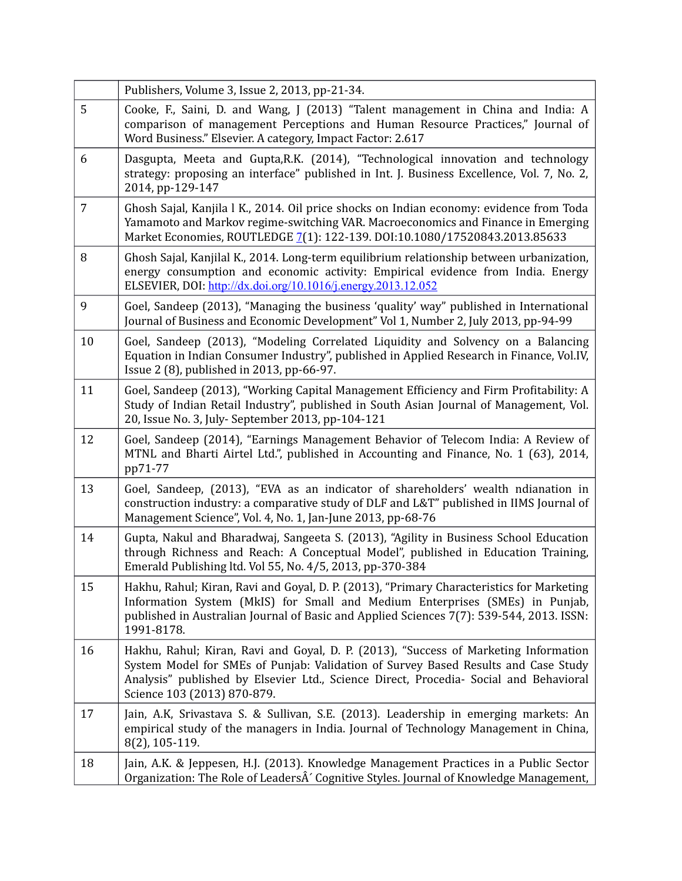|                | Publishers, Volume 3, Issue 2, 2013, pp-21-34.                                                                                                                                                                                                                                                     |
|----------------|----------------------------------------------------------------------------------------------------------------------------------------------------------------------------------------------------------------------------------------------------------------------------------------------------|
| 5              | Cooke, F., Saini, D. and Wang, J (2013) "Talent management in China and India: A<br>comparison of management Perceptions and Human Resource Practices," Journal of<br>Word Business." Elsevier. A category, Impact Factor: 2.617                                                                   |
| 6              | Dasgupta, Meeta and Gupta, R.K. (2014), "Technological innovation and technology<br>strategy: proposing an interface" published in Int. J. Business Excellence, Vol. 7, No. 2,<br>2014, pp-129-147                                                                                                 |
| $\overline{7}$ | Ghosh Sajal, Kanjila l K., 2014. Oil price shocks on Indian economy: evidence from Toda<br>Yamamoto and Markov regime-switching VAR. Macroeconomics and Finance in Emerging<br>Market Economies, ROUTLEDGE 7(1): 122-139. DOI:10.1080/17520843.2013.85633                                          |
| 8              | Ghosh Sajal, Kanjilal K., 2014. Long-term equilibrium relationship between urbanization,<br>energy consumption and economic activity: Empirical evidence from India. Energy<br>ELSEVIER, DOI: http://dx.doi.org/10.1016/j.energy.2013.12.052                                                       |
| 9              | Goel, Sandeep (2013), "Managing the business 'quality' way" published in International<br>Journal of Business and Economic Development" Vol 1, Number 2, July 2013, pp-94-99                                                                                                                       |
| 10             | Goel, Sandeep (2013), "Modeling Correlated Liquidity and Solvency on a Balancing<br>Equation in Indian Consumer Industry", published in Applied Research in Finance, Vol.IV,<br>Issue 2 (8), published in 2013, pp-66-97.                                                                          |
| 11             | Goel, Sandeep (2013), "Working Capital Management Efficiency and Firm Profitability: A<br>Study of Indian Retail Industry", published in South Asian Journal of Management, Vol.<br>20, Issue No. 3, July- September 2013, pp-104-121                                                              |
| 12             | Goel, Sandeep (2014), "Earnings Management Behavior of Telecom India: A Review of<br>MTNL and Bharti Airtel Ltd.", published in Accounting and Finance, No. 1 (63), 2014,<br>pp71-77                                                                                                               |
| 13             | Goel, Sandeep, (2013), "EVA as an indicator of shareholders' wealth ndianation in<br>construction industry: a comparative study of DLF and L&T" published in IIMS Journal of<br>Management Science", Vol. 4, No. 1, Jan-June 2013, pp-68-76                                                        |
| 14             | Gupta, Nakul and Bharadwaj, Sangeeta S. (2013), "Agility in Business School Education<br>through Richness and Reach: A Conceptual Model", published in Education Training,<br>Emerald Publishing ltd. Vol 55, No. 4/5, 2013, pp-370-384                                                            |
| 15             | Hakhu, Rahul; Kiran, Ravi and Goyal, D. P. (2013), "Primary Characteristics for Marketing<br>Information System (MkIS) for Small and Medium Enterprises (SMEs) in Punjab,<br>published in Australian Journal of Basic and Applied Sciences 7(7): 539-544, 2013. ISSN:<br>1991-8178.                |
| 16             | Hakhu, Rahul; Kiran, Ravi and Goyal, D. P. (2013), "Success of Marketing Information<br>System Model for SMEs of Punjab: Validation of Survey Based Results and Case Study<br>Analysis" published by Elsevier Ltd., Science Direct, Procedia- Social and Behavioral<br>Science 103 (2013) 870-879. |
| 17             | Jain, A.K, Srivastava S. & Sullivan, S.E. (2013). Leadership in emerging markets: An<br>empirical study of the managers in India. Journal of Technology Management in China,<br>8(2), 105-119.                                                                                                     |
| 18             | Jain, A.K. & Jeppesen, H.J. (2013). Knowledge Management Practices in a Public Sector<br>Organization: The Role of LeadersÂ' Cognitive Styles. Journal of Knowledge Management,                                                                                                                    |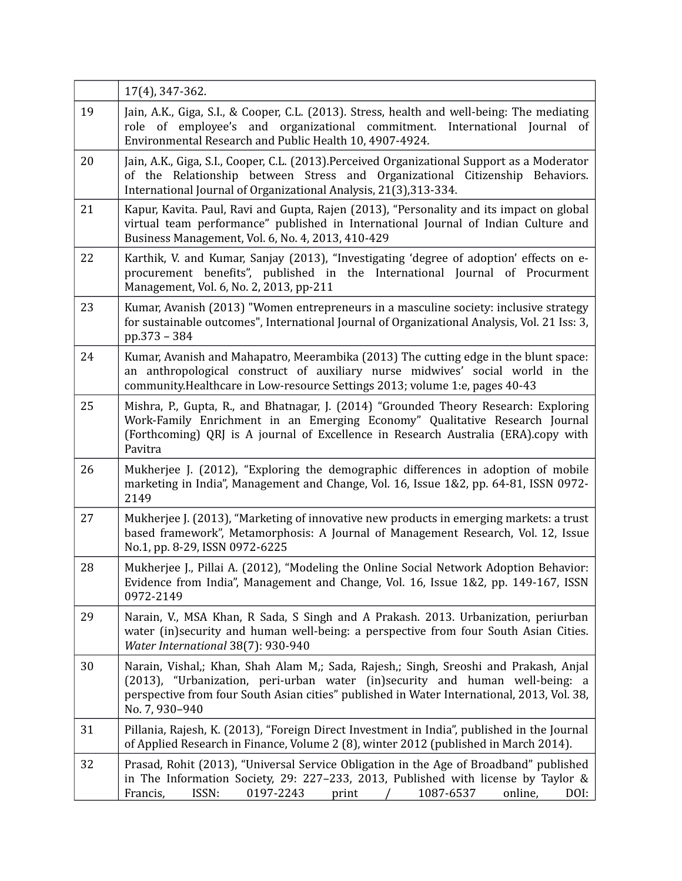|    | 17(4), 347-362.                                                                                                                                                                                                                                                                       |
|----|---------------------------------------------------------------------------------------------------------------------------------------------------------------------------------------------------------------------------------------------------------------------------------------|
| 19 | Jain, A.K., Giga, S.I., & Cooper, C.L. (2013). Stress, health and well-being: The mediating<br>role of employee's and organizational commitment.<br>International Journal of<br>Environmental Research and Public Health 10, 4907-4924.                                               |
| 20 | Jain, A.K., Giga, S.I., Cooper, C.L. (2013). Perceived Organizational Support as a Moderator<br>of the Relationship between Stress and Organizational Citizenship Behaviors.<br>International Journal of Organizational Analysis, 21(3), 313-334.                                     |
| 21 | Kapur, Kavita. Paul, Ravi and Gupta, Rajen (2013), "Personality and its impact on global<br>virtual team performance" published in International Journal of Indian Culture and<br>Business Management, Vol. 6, No. 4, 2013, 410-429                                                   |
| 22 | Karthik, V. and Kumar, Sanjay (2013), "Investigating 'degree of adoption' effects on e-<br>procurement benefits", published in the International Journal of Procurment<br>Management, Vol. 6, No. 2, 2013, pp-211                                                                     |
| 23 | Kumar, Avanish (2013) "Women entrepreneurs in a masculine society: inclusive strategy<br>for sustainable outcomes", International Journal of Organizational Analysis, Vol. 21 Iss: 3,<br>pp.373 - 384                                                                                 |
| 24 | Kumar, Avanish and Mahapatro, Meerambika (2013) The cutting edge in the blunt space:<br>an anthropological construct of auxiliary nurse midwives' social world in the<br>community. Healthcare in Low-resource Settings 2013; volume 1:e, pages 40-43                                 |
| 25 | Mishra, P., Gupta, R., and Bhatnagar, J. (2014) "Grounded Theory Research: Exploring<br>Work-Family Enrichment in an Emerging Economy" Qualitative Research Journal<br>(Forthcoming) QRJ is A journal of Excellence in Research Australia (ERA).copy with<br>Pavitra                  |
| 26 | Mukherjee J. (2012), "Exploring the demographic differences in adoption of mobile<br>marketing in India", Management and Change, Vol. 16, Issue 1&2, pp. 64-81, ISSN 0972-<br>2149                                                                                                    |
| 27 | Mukherjee J. (2013), "Marketing of innovative new products in emerging markets: a trust<br>based framework", Metamorphosis: A Journal of Management Research, Vol. 12, Issue<br>No.1, pp. 8-29, ISSN 0972-6225                                                                        |
| 28 | Mukherjee J., Pillai A. (2012), "Modeling the Online Social Network Adoption Behavior:<br>Evidence from India", Management and Change, Vol. 16, Issue 1&2, pp. 149-167, ISSN<br>0972-2149                                                                                             |
| 29 | Narain, V., MSA Khan, R Sada, S Singh and A Prakash. 2013. Urbanization, periurban<br>water (in) security and human well-being: a perspective from four South Asian Cities.<br>Water International 38(7): 930-940                                                                     |
| 30 | Narain, Vishal,; Khan, Shah Alam M,; Sada, Rajesh,; Singh, Sreoshi and Prakash, Anjal<br>(2013), "Urbanization, peri-urban water (in)security and human well-being: a<br>perspective from four South Asian cities" published in Water International, 2013, Vol. 38,<br>No. 7, 930-940 |
| 31 | Pillania, Rajesh, K. (2013), "Foreign Direct Investment in India", published in the Journal<br>of Applied Research in Finance, Volume 2 (8), winter 2012 (published in March 2014).                                                                                                   |
| 32 | Prasad, Rohit (2013), "Universal Service Obligation in the Age of Broadband" published<br>in The Information Society, 29: 227-233, 2013, Published with license by Taylor &<br>Francis,<br>ISSN:<br>0197-2243<br>1087-6537<br>online,<br>DOI:<br>print                                |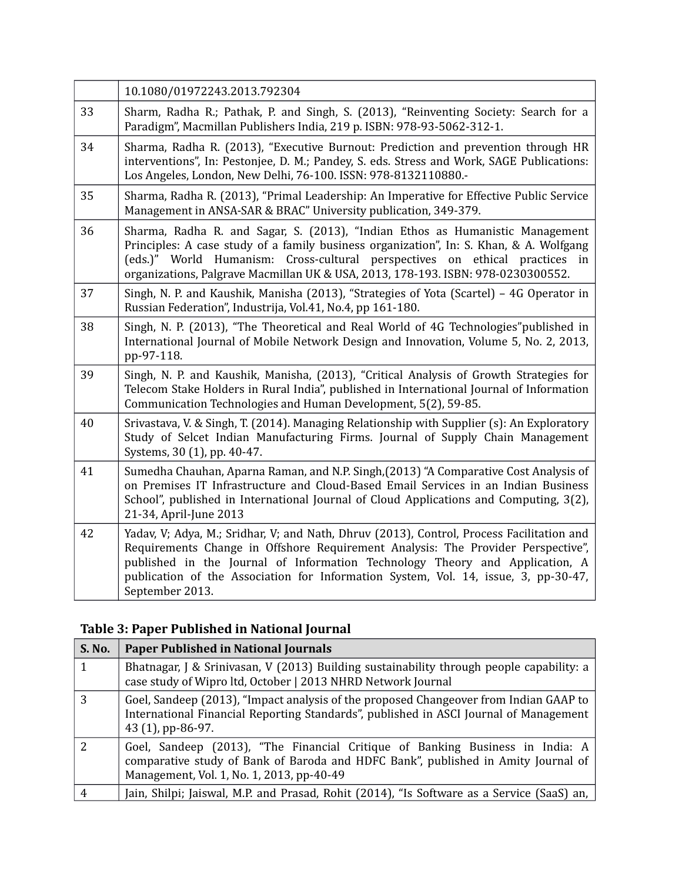|    | 10.1080/01972243.2013.792304                                                                                                                                                                                                                                                                                                                                            |
|----|-------------------------------------------------------------------------------------------------------------------------------------------------------------------------------------------------------------------------------------------------------------------------------------------------------------------------------------------------------------------------|
| 33 | Sharm, Radha R.; Pathak, P. and Singh, S. (2013), "Reinventing Society: Search for a<br>Paradigm", Macmillan Publishers India, 219 p. ISBN: 978-93-5062-312-1.                                                                                                                                                                                                          |
| 34 | Sharma, Radha R. (2013), "Executive Burnout: Prediction and prevention through HR<br>interventions", In: Pestonjee, D. M.; Pandey, S. eds. Stress and Work, SAGE Publications:<br>Los Angeles, London, New Delhi, 76-100. ISSN: 978-8132110880.-                                                                                                                        |
| 35 | Sharma, Radha R. (2013), "Primal Leadership: An Imperative for Effective Public Service<br>Management in ANSA-SAR & BRAC" University publication, 349-379.                                                                                                                                                                                                              |
| 36 | Sharma, Radha R. and Sagar, S. (2013), "Indian Ethos as Humanistic Management<br>Principles: A case study of a family business organization", In: S. Khan, & A. Wolfgang<br>(eds.)" World Humanism: Cross-cultural perspectives on ethical practices in<br>organizations, Palgrave Macmillan UK & USA, 2013, 178-193. ISBN: 978-0230300552.                             |
| 37 | Singh, N. P. and Kaushik, Manisha (2013), "Strategies of Yota (Scartel) - 4G Operator in<br>Russian Federation", Industrija, Vol.41, No.4, pp 161-180.                                                                                                                                                                                                                  |
| 38 | Singh, N. P. (2013), "The Theoretical and Real World of 4G Technologies" published in<br>International Journal of Mobile Network Design and Innovation, Volume 5, No. 2, 2013,<br>pp-97-118.                                                                                                                                                                            |
| 39 | Singh, N. P. and Kaushik, Manisha, (2013), "Critical Analysis of Growth Strategies for<br>Telecom Stake Holders in Rural India", published in International Journal of Information<br>Communication Technologies and Human Development, 5(2), 59-85.                                                                                                                    |
| 40 | Srivastava, V. & Singh, T. (2014). Managing Relationship with Supplier (s): An Exploratory<br>Study of Selcet Indian Manufacturing Firms. Journal of Supply Chain Management<br>Systems, 30 (1), pp. 40-47.                                                                                                                                                             |
| 41 | Sumedha Chauhan, Aparna Raman, and N.P. Singh, (2013) "A Comparative Cost Analysis of<br>on Premises IT Infrastructure and Cloud-Based Email Services in an Indian Business<br>School", published in International Journal of Cloud Applications and Computing, 3(2),<br>21-34, April-June 2013                                                                         |
| 42 | Yadav, V; Adya, M.; Sridhar, V; and Nath, Dhruv (2013), Control, Process Facilitation and<br>Requirements Change in Offshore Requirement Analysis: The Provider Perspective",<br>published in the Journal of Information Technology Theory and Application, A<br>publication of the Association for Information System, Vol. 14, issue, 3, pp-30-47,<br>September 2013. |

# **Table 3: Paper Published in National Journal**

| S. No.        | <b>Paper Published in National Journals</b>                                                                                                                                                                     |
|---------------|-----------------------------------------------------------------------------------------------------------------------------------------------------------------------------------------------------------------|
|               | Bhatnagar, J & Srinivasan, V (2013) Building sustainability through people capability: a<br>case study of Wipro ltd, October   2013 NHRD Network Journal                                                        |
| 3             | Goel, Sandeep (2013), "Impact analysis of the proposed Changeover from Indian GAAP to<br>International Financial Reporting Standards", published in ASCI Journal of Management<br>43 (1), pp-86-97.             |
| $\mathcal{L}$ | Goel, Sandeep (2013), "The Financial Critique of Banking Business in India: A<br>comparative study of Bank of Baroda and HDFC Bank", published in Amity Journal of<br>Management, Vol. 1, No. 1, 2013, pp-40-49 |
| 4             | Jain, Shilpi; Jaiswal, M.P. and Prasad, Rohit (2014), "Is Software as a Service (SaaS) an,                                                                                                                      |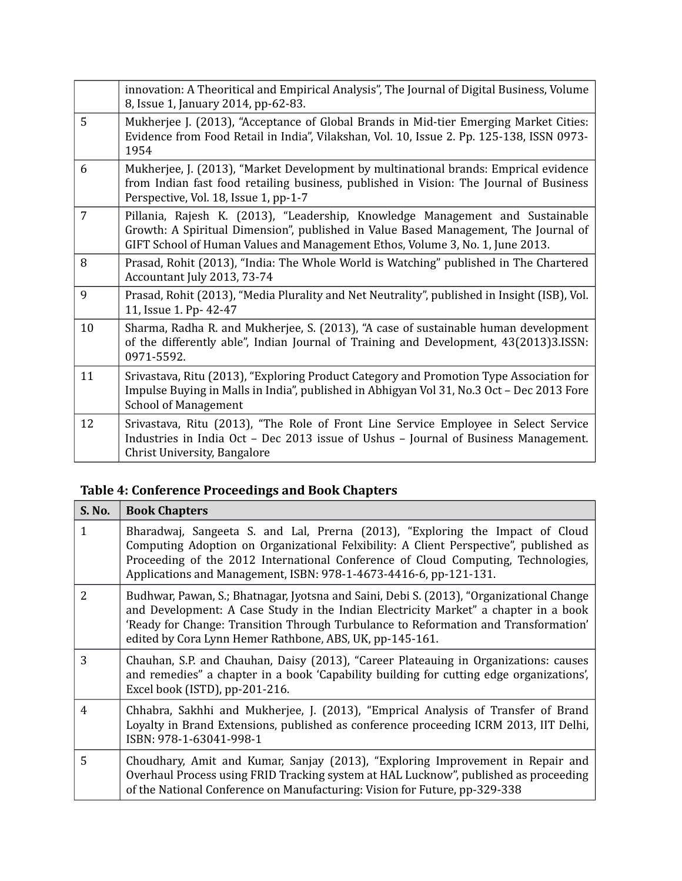|                | innovation: A Theoritical and Empirical Analysis", The Journal of Digital Business, Volume<br>8, Issue 1, January 2014, pp-62-83.                                                                                                                     |
|----------------|-------------------------------------------------------------------------------------------------------------------------------------------------------------------------------------------------------------------------------------------------------|
| 5              | Mukherjee J. (2013), "Acceptance of Global Brands in Mid-tier Emerging Market Cities:<br>Evidence from Food Retail in India", Vilakshan, Vol. 10, Issue 2. Pp. 125-138, ISSN 0973-<br>1954                                                            |
| 6              | Mukherjee, J. (2013), "Market Development by multinational brands: Emprical evidence<br>from Indian fast food retailing business, published in Vision: The Journal of Business<br>Perspective, Vol. 18, Issue 1, pp-1-7                               |
| $\overline{7}$ | Pillania, Rajesh K. (2013), "Leadership, Knowledge Management and Sustainable<br>Growth: A Spiritual Dimension", published in Value Based Management, The Journal of<br>GIFT School of Human Values and Management Ethos, Volume 3, No. 1, June 2013. |
| 8              | Prasad, Rohit (2013), "India: The Whole World is Watching" published in The Chartered<br>Accountant July 2013, 73-74                                                                                                                                  |
| 9              | Prasad, Rohit (2013), "Media Plurality and Net Neutrality", published in Insight (ISB), Vol.<br>11, Issue 1. Pp- 42-47                                                                                                                                |
| 10             | Sharma, Radha R. and Mukherjee, S. (2013), "A case of sustainable human development<br>of the differently able", Indian Journal of Training and Development, 43(2013)3.ISSN:<br>0971-5592.                                                            |
| 11             | Srivastava, Ritu (2013), "Exploring Product Category and Promotion Type Association for<br>Impulse Buying in Malls in India", published in Abhigyan Vol 31, No.3 Oct - Dec 2013 Fore<br><b>School of Management</b>                                   |
| 12             | Srivastava, Ritu (2013), "The Role of Front Line Service Employee in Select Service<br>Industries in India Oct - Dec 2013 issue of Ushus - Journal of Business Management.<br>Christ University, Bangalore                                            |

# **Table 4: Conference Proceedings and Book Chapters**

| S. No.         | <b>Book Chapters</b>                                                                                                                                                                                                                                                                                                               |
|----------------|------------------------------------------------------------------------------------------------------------------------------------------------------------------------------------------------------------------------------------------------------------------------------------------------------------------------------------|
| 1              | Bharadwaj, Sangeeta S. and Lal, Prerna (2013), "Exploring the Impact of Cloud<br>Computing Adoption on Organizational Felxibility: A Client Perspective", published as<br>Proceeding of the 2012 International Conference of Cloud Computing, Technologies,<br>Applications and Management, ISBN: 978-1-4673-4416-6, pp-121-131.   |
| $\overline{2}$ | Budhwar, Pawan, S.; Bhatnagar, Jyotsna and Saini, Debi S. (2013), "Organizational Change<br>and Development: A Case Study in the Indian Electricity Market" a chapter in a book<br>'Ready for Change: Transition Through Turbulance to Reformation and Transformation'<br>edited by Cora Lynn Hemer Rathbone, ABS, UK, pp-145-161. |
| 3              | Chauhan, S.P. and Chauhan, Daisy (2013), "Career Plateauing in Organizations: causes<br>and remedies" a chapter in a book 'Capability building for cutting edge organizations',<br>Excel book (ISTD), pp-201-216.                                                                                                                  |
| 4              | Chhabra, Sakhhi and Mukherjee, J. (2013), "Emprical Analysis of Transfer of Brand<br>Loyalty in Brand Extensions, published as conference proceeding ICRM 2013, IIT Delhi,<br>ISBN: 978-1-63041-998-1                                                                                                                              |
| 5              | Choudhary, Amit and Kumar, Sanjay (2013), "Exploring Improvement in Repair and<br>Overhaul Process using FRID Tracking system at HAL Lucknow", published as proceeding<br>of the National Conference on Manufacturing: Vision for Future, pp-329-338                                                                               |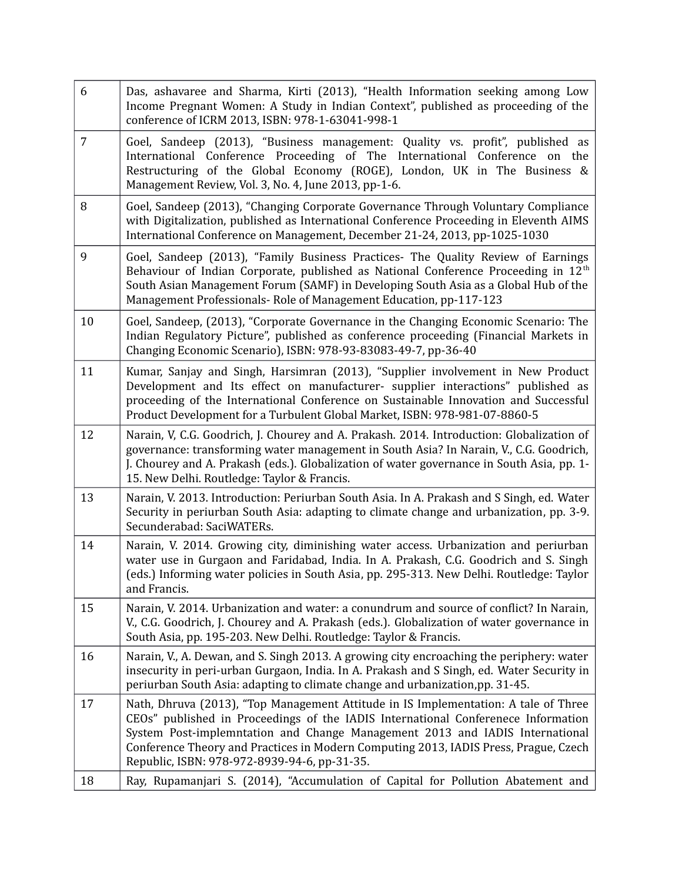| 6              | Das, ashavaree and Sharma, Kirti (2013), "Health Information seeking among Low<br>Income Pregnant Women: A Study in Indian Context", published as proceeding of the<br>conference of ICRM 2013, ISBN: 978-1-63041-998-1                                                                                                                                                                          |
|----------------|--------------------------------------------------------------------------------------------------------------------------------------------------------------------------------------------------------------------------------------------------------------------------------------------------------------------------------------------------------------------------------------------------|
| $\overline{7}$ | Goel, Sandeep (2013), "Business management: Quality vs. profit", published as<br>International Conference Proceeding of The International Conference on the<br>Restructuring of the Global Economy (ROGE), London, UK in The Business &<br>Management Review, Vol. 3, No. 4, June 2013, pp-1-6.                                                                                                  |
| 8              | Goel, Sandeep (2013), "Changing Corporate Governance Through Voluntary Compliance<br>with Digitalization, published as International Conference Proceeding in Eleventh AIMS<br>International Conference on Management, December 21-24, 2013, pp-1025-1030                                                                                                                                        |
| 9              | Goel, Sandeep (2013), "Family Business Practices- The Quality Review of Earnings<br>Behaviour of Indian Corporate, published as National Conference Proceeding in 12 <sup>th</sup><br>South Asian Management Forum (SAMF) in Developing South Asia as a Global Hub of the<br>Management Professionals-Role of Management Education, pp-117-123                                                   |
| 10             | Goel, Sandeep, (2013), "Corporate Governance in the Changing Economic Scenario: The<br>Indian Regulatory Picture", published as conference proceeding (Financial Markets in<br>Changing Economic Scenario), ISBN: 978-93-83083-49-7, pp-36-40                                                                                                                                                    |
| 11             | Kumar, Sanjay and Singh, Harsimran (2013), "Supplier involvement in New Product<br>Development and Its effect on manufacturer- supplier interactions" published as<br>proceeding of the International Conference on Sustainable Innovation and Successful<br>Product Development for a Turbulent Global Market, ISBN: 978-981-07-8860-5                                                          |
| 12             | Narain, V, C.G. Goodrich, J. Chourey and A. Prakash. 2014. Introduction: Globalization of<br>governance: transforming water management in South Asia? In Narain, V., C.G. Goodrich,<br>J. Chourey and A. Prakash (eds.). Globalization of water governance in South Asia, pp. 1-<br>15. New Delhi. Routledge: Taylor & Francis.                                                                  |
| 13             | Narain, V. 2013. Introduction: Periurban South Asia. In A. Prakash and S Singh, ed. Water<br>Security in periurban South Asia: adapting to climate change and urbanization, pp. 3-9.<br>Secunderabad: SaciWATERs.                                                                                                                                                                                |
| 14             | Narain, V. 2014. Growing city, diminishing water access. Urbanization and periurban<br>water use in Gurgaon and Faridabad, India. In A. Prakash, C.G. Goodrich and S. Singh<br>(eds.) Informing water policies in South Asia, pp. 295-313. New Delhi. Routledge: Taylor<br>and Francis.                                                                                                          |
| 15             | Narain, V. 2014. Urbanization and water: a conundrum and source of conflict? In Narain,<br>V., C.G. Goodrich, J. Chourey and A. Prakash (eds.). Globalization of water governance in<br>South Asia, pp. 195-203. New Delhi. Routledge: Taylor & Francis.                                                                                                                                         |
| 16             | Narain, V., A. Dewan, and S. Singh 2013. A growing city encroaching the periphery: water<br>insecurity in peri-urban Gurgaon, India. In A. Prakash and S Singh, ed. Water Security in<br>periurban South Asia: adapting to climate change and urbanization, pp. 31-45.                                                                                                                           |
| 17             | Nath, Dhruva (2013), "Top Management Attitude in IS Implementation: A tale of Three<br>CEOs" published in Proceedings of the IADIS International Conferenece Information<br>System Post-implemntation and Change Management 2013 and IADIS International<br>Conference Theory and Practices in Modern Computing 2013, IADIS Press, Prague, Czech<br>Republic, ISBN: 978-972-8939-94-6, pp-31-35. |
| 18             | Ray, Rupamanjari S. (2014), "Accumulation of Capital for Pollution Abatement and                                                                                                                                                                                                                                                                                                                 |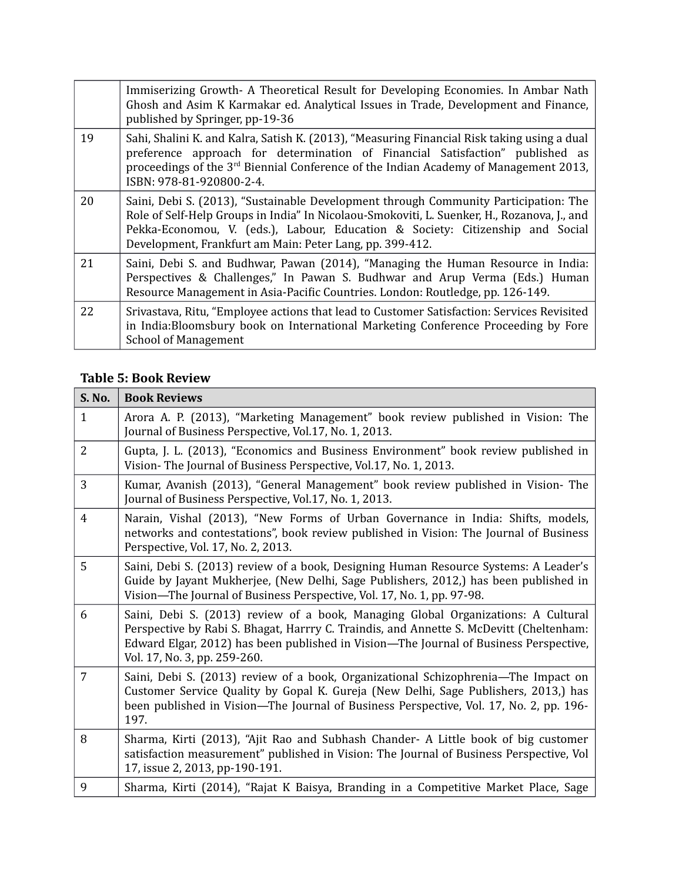|    | Immiserizing Growth- A Theoretical Result for Developing Economies. In Ambar Nath<br>Ghosh and Asim K Karmakar ed. Analytical Issues in Trade, Development and Finance,<br>published by Springer, pp-19-36                                                                                                                        |
|----|-----------------------------------------------------------------------------------------------------------------------------------------------------------------------------------------------------------------------------------------------------------------------------------------------------------------------------------|
| 19 | Sahi, Shalini K. and Kalra, Satish K. (2013), "Measuring Financial Risk taking using a dual<br>preference approach for determination of Financial Satisfaction" published as<br>proceedings of the $3rd$ Biennial Conference of the Indian Academy of Management 2013,<br>ISBN: 978-81-920800-2-4.                                |
| 20 | Saini, Debi S. (2013), "Sustainable Development through Community Participation: The<br>Role of Self-Help Groups in India" In Nicolaou-Smokoviti, L. Suenker, H., Rozanova, J., and<br>Pekka-Economou, V. (eds.), Labour, Education & Society: Citizenship and Social<br>Development, Frankfurt am Main: Peter Lang, pp. 399-412. |
| 21 | Saini, Debi S. and Budhwar, Pawan (2014), "Managing the Human Resource in India:<br>Perspectives & Challenges," In Pawan S. Budhwar and Arup Verma (Eds.) Human<br>Resource Management in Asia-Pacific Countries. London: Routledge, pp. 126-149.                                                                                 |
| 22 | Srivastava, Ritu, "Employee actions that lead to Customer Satisfaction: Services Revisited<br>in India: Bloomsbury book on International Marketing Conference Proceeding by Fore<br><b>School of Management</b>                                                                                                                   |

### **Table 5: Book Review**

| <b>S. No.</b>  | <b>Book Reviews</b>                                                                                                                                                                                                                                                                                   |
|----------------|-------------------------------------------------------------------------------------------------------------------------------------------------------------------------------------------------------------------------------------------------------------------------------------------------------|
| $\mathbf{1}$   | Arora A. P. (2013), "Marketing Management" book review published in Vision: The<br>Journal of Business Perspective, Vol.17, No. 1, 2013.                                                                                                                                                              |
| $\overline{2}$ | Gupta, J. L. (2013), "Economics and Business Environment" book review published in<br>Vision-The Journal of Business Perspective, Vol.17, No. 1, 2013.                                                                                                                                                |
| 3              | Kumar, Avanish (2013), "General Management" book review published in Vision-The<br>Journal of Business Perspective, Vol.17, No. 1, 2013.                                                                                                                                                              |
| 4              | Narain, Vishal (2013), "New Forms of Urban Governance in India: Shifts, models,<br>networks and contestations", book review published in Vision: The Journal of Business<br>Perspective, Vol. 17, No. 2, 2013.                                                                                        |
| 5              | Saini, Debi S. (2013) review of a book, Designing Human Resource Systems: A Leader's<br>Guide by Jayant Mukherjee, (New Delhi, Sage Publishers, 2012,) has been published in<br>Vision-The Journal of Business Perspective, Vol. 17, No. 1, pp. 97-98.                                                |
| 6              | Saini, Debi S. (2013) review of a book, Managing Global Organizations: A Cultural<br>Perspective by Rabi S. Bhagat, Harrry C. Traindis, and Annette S. McDevitt (Cheltenham:<br>Edward Elgar, 2012) has been published in Vision-The Journal of Business Perspective,<br>Vol. 17, No. 3, pp. 259-260. |
| 7              | Saini, Debi S. (2013) review of a book, Organizational Schizophrenia—The Impact on<br>Customer Service Quality by Gopal K. Gureja (New Delhi, Sage Publishers, 2013,) has<br>been published in Vision—The Journal of Business Perspective, Vol. 17, No. 2, pp. 196-<br>197.                           |
| 8              | Sharma, Kirti (2013), "Ajit Rao and Subhash Chander- A Little book of big customer<br>satisfaction measurement" published in Vision: The Journal of Business Perspective, Vol<br>17, issue 2, 2013, pp-190-191.                                                                                       |
| 9              | Sharma, Kirti (2014), "Rajat K Baisya, Branding in a Competitive Market Place, Sage                                                                                                                                                                                                                   |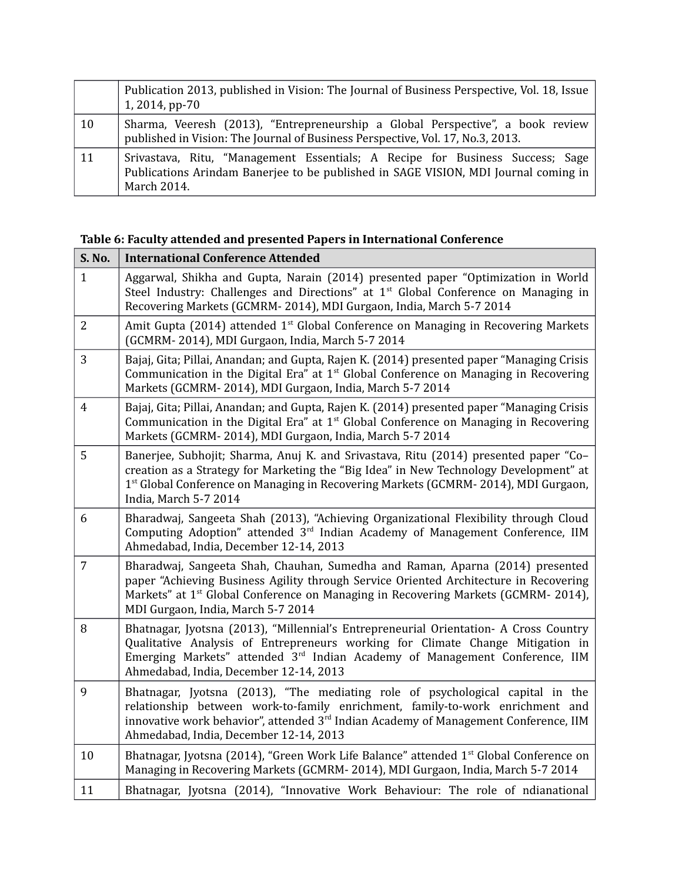|    | Publication 2013, published in Vision: The Journal of Business Perspective, Vol. 18, Issue<br>1, 2014, pp-70                                                                        |
|----|-------------------------------------------------------------------------------------------------------------------------------------------------------------------------------------|
| 10 | Sharma, Veeresh (2013), "Entrepreneurship a Global Perspective", a book review<br>published in Vision: The Journal of Business Perspective, Vol. 17, No.3, 2013.                    |
| 11 | Srivastava, Ritu, "Management Essentials; A Recipe for Business Success; Sage<br>Publications Arindam Banerjee to be published in SAGE VISION, MDI Journal coming in<br>March 2014. |

#### **Table 6: Faculty attended and presented Papers in International Conference**

| S. No.         | <b>International Conference Attended</b>                                                                                                                                                                                                                                                                       |
|----------------|----------------------------------------------------------------------------------------------------------------------------------------------------------------------------------------------------------------------------------------------------------------------------------------------------------------|
| $\mathbf{1}$   | Aggarwal, Shikha and Gupta, Narain (2014) presented paper "Optimization in World<br>Steel Industry: Challenges and Directions" at $1st$ Global Conference on Managing in<br>Recovering Markets (GCMRM-2014), MDI Gurgaon, India, March 5-7 2014                                                                |
| $\overline{2}$ | Amit Gupta (2014) attended 1 <sup>st</sup> Global Conference on Managing in Recovering Markets<br>(GCMRM-2014), MDI Gurgaon, India, March 5-7 2014                                                                                                                                                             |
| 3              | Bajaj, Gita; Pillai, Anandan; and Gupta, Rajen K. (2014) presented paper "Managing Crisis<br>Communication in the Digital Era" at $1st$ Global Conference on Managing in Recovering<br>Markets (GCMRM-2014), MDI Gurgaon, India, March 5-7 2014                                                                |
| $\overline{4}$ | Bajaj, Gita; Pillai, Anandan; and Gupta, Rajen K. (2014) presented paper "Managing Crisis<br>Communication in the Digital Era" at $1st$ Global Conference on Managing in Recovering<br>Markets (GCMRM-2014), MDI Gurgaon, India, March 5-7 2014                                                                |
| 5              | Banerjee, Subhojit; Sharma, Anuj K. and Srivastava, Ritu (2014) presented paper "Co-<br>creation as a Strategy for Marketing the "Big Idea" in New Technology Development" at<br>1 <sup>st</sup> Global Conference on Managing in Recovering Markets (GCMRM-2014), MDI Gurgaon,<br>India, March 5-7 2014       |
| 6              | Bharadwaj, Sangeeta Shah (2013), "Achieving Organizational Flexibility through Cloud<br>Computing Adoption" attended 3 <sup>rd</sup> Indian Academy of Management Conference, IIM<br>Ahmedabad, India, December 12-14, 2013                                                                                    |
| $\overline{7}$ | Bharadwaj, Sangeeta Shah, Chauhan, Sumedha and Raman, Aparna (2014) presented<br>paper "Achieving Business Agility through Service Oriented Architecture in Recovering<br>Markets" at 1 <sup>st</sup> Global Conference on Managing in Recovering Markets (GCMRM- 2014),<br>MDI Gurgaon, India, March 5-7 2014 |
| 8              | Bhatnagar, Jyotsna (2013), "Millennial's Entrepreneurial Orientation- A Cross Country<br>Qualitative Analysis of Entrepreneurs working for Climate Change Mitigation in<br>Emerging Markets" attended 3 <sup>rd</sup> Indian Academy of Management Conference, IIM<br>Ahmedabad, India, December 12-14, 2013   |
| 9              | Bhatnagar, Jyotsna (2013), "The mediating role of psychological capital in the<br>relationship between work-to-family enrichment, family-to-work enrichment and<br>innovative work behavior", attended 3 <sup>rd</sup> Indian Academy of Management Conference, IIM<br>Ahmedabad, India, December 12-14, 2013  |
| 10             | Bhatnagar, Jyotsna (2014), "Green Work Life Balance" attended 1 <sup>st</sup> Global Conference on<br>Managing in Recovering Markets (GCMRM-2014), MDI Gurgaon, India, March 5-7 2014                                                                                                                          |
| 11             | Bhatnagar, Jyotsna (2014), "Innovative Work Behaviour: The role of ndianational                                                                                                                                                                                                                                |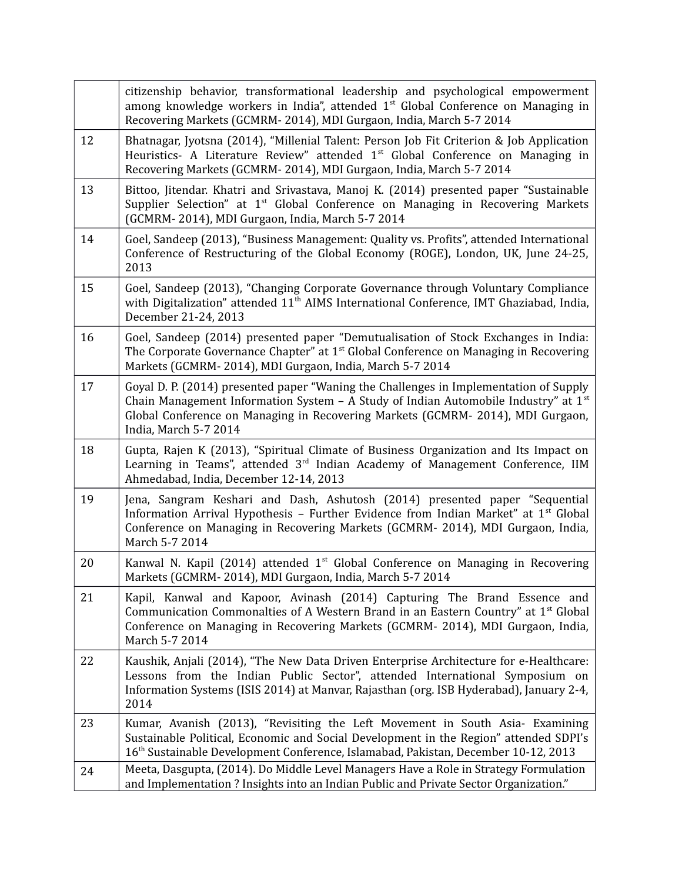|    | citizenship behavior, transformational leadership and psychological empowerment<br>among knowledge workers in India", attended 1 <sup>st</sup> Global Conference on Managing in<br>Recovering Markets (GCMRM-2014), MDI Gurgaon, India, March 5-7 2014                                    |
|----|-------------------------------------------------------------------------------------------------------------------------------------------------------------------------------------------------------------------------------------------------------------------------------------------|
| 12 | Bhatnagar, Jyotsna (2014), "Millenial Talent: Person Job Fit Criterion & Job Application<br>Heuristics- A Literature Review" attended 1 <sup>st</sup> Global Conference on Managing in<br>Recovering Markets (GCMRM-2014), MDI Gurgaon, India, March 5-7 2014                             |
| 13 | Bittoo, Jitendar. Khatri and Srivastava, Manoj K. (2014) presented paper "Sustainable<br>Supplier Selection" at 1 <sup>st</sup> Global Conference on Managing in Recovering Markets<br>(GCMRM-2014), MDI Gurgaon, India, March 5-7 2014                                                   |
| 14 | Goel, Sandeep (2013), "Business Management: Quality vs. Profits", attended International<br>Conference of Restructuring of the Global Economy (ROGE), London, UK, June 24-25,<br>2013                                                                                                     |
| 15 | Goel, Sandeep (2013), "Changing Corporate Governance through Voluntary Compliance<br>with Digitalization" attended 11 <sup>th</sup> AIMS International Conference, IMT Ghaziabad, India,<br>December 21-24, 2013                                                                          |
| 16 | Goel, Sandeep (2014) presented paper "Demutualisation of Stock Exchanges in India:<br>The Corporate Governance Chapter" at 1 <sup>st</sup> Global Conference on Managing in Recovering<br>Markets (GCMRM-2014), MDI Gurgaon, India, March 5-7 2014                                        |
| 17 | Goyal D. P. (2014) presented paper "Waning the Challenges in Implementation of Supply<br>Chain Management Information System – A Study of Indian Automobile Industry" at $1st$<br>Global Conference on Managing in Recovering Markets (GCMRM-2014), MDI Gurgaon,<br>India, March 5-7 2014 |
| 18 | Gupta, Rajen K (2013), "Spiritual Climate of Business Organization and Its Impact on<br>Learning in Teams", attended 3 <sup>rd</sup> Indian Academy of Management Conference, IIM<br>Ahmedabad, India, December 12-14, 2013                                                               |
| 19 | Jena, Sangram Keshari and Dash, Ashutosh (2014) presented paper "Sequential<br>Information Arrival Hypothesis - Further Evidence from Indian Market" at 1 <sup>st</sup> Global<br>Conference on Managing in Recovering Markets (GCMRM- 2014), MDI Gurgaon, India,<br>March 5-7 2014       |
| 20 | Kanwal N. Kapil (2014) attended 1 <sup>st</sup> Global Conference on Managing in Recovering<br>Markets (GCMRM-2014), MDI Gurgaon, India, March 5-7 2014                                                                                                                                   |
| 21 | Kapil, Kanwal and Kapoor, Avinash (2014) Capturing The Brand Essence and<br>Communication Commonalties of A Western Brand in an Eastern Country" at 1 <sup>st</sup> Global<br>Conference on Managing in Recovering Markets (GCMRM- 2014), MDI Gurgaon, India,<br>March 5-7 2014           |
| 22 | Kaushik, Anjali (2014), "The New Data Driven Enterprise Architecture for e-Healthcare:<br>Lessons from the Indian Public Sector", attended International Symposium on<br>Information Systems (ISIS 2014) at Manvar, Rajasthan (org. ISB Hyderabad), January 2-4,<br>2014                  |
| 23 | Kumar, Avanish (2013), "Revisiting the Left Movement in South Asia- Examining<br>Sustainable Political, Economic and Social Development in the Region" attended SDPI's<br>16 <sup>th</sup> Sustainable Development Conference, Islamabad, Pakistan, December 10-12, 2013                  |
| 24 | Meeta, Dasgupta, (2014). Do Middle Level Managers Have a Role in Strategy Formulation<br>and Implementation ? Insights into an Indian Public and Private Sector Organization."                                                                                                            |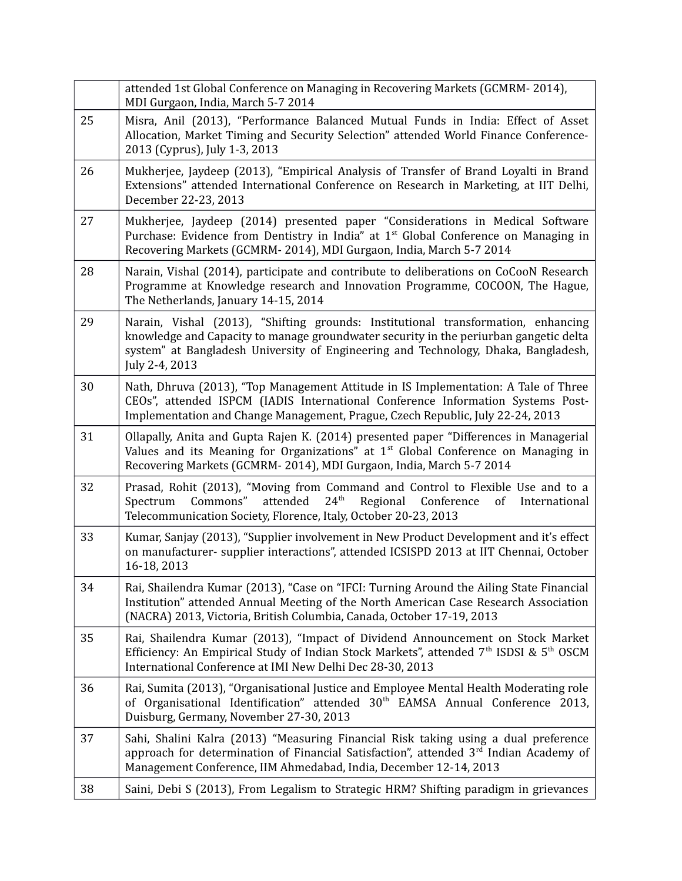|    | attended 1st Global Conference on Managing in Recovering Markets (GCMRM-2014),<br>MDI Gurgaon, India, March 5-7 2014                                                                                                                                                               |
|----|------------------------------------------------------------------------------------------------------------------------------------------------------------------------------------------------------------------------------------------------------------------------------------|
| 25 | Misra, Anil (2013), "Performance Balanced Mutual Funds in India: Effect of Asset<br>Allocation, Market Timing and Security Selection" attended World Finance Conference-<br>2013 (Cyprus), July 1-3, 2013                                                                          |
| 26 | Mukherjee, Jaydeep (2013), "Empirical Analysis of Transfer of Brand Loyalti in Brand<br>Extensions" attended International Conference on Research in Marketing, at IIT Delhi,<br>December 22-23, 2013                                                                              |
| 27 | Mukherjee, Jaydeep (2014) presented paper "Considerations in Medical Software<br>Purchase: Evidence from Dentistry in India" at 1 <sup>st</sup> Global Conference on Managing in<br>Recovering Markets (GCMRM-2014), MDI Gurgaon, India, March 5-7 2014                            |
| 28 | Narain, Vishal (2014), participate and contribute to deliberations on CoCooN Research<br>Programme at Knowledge research and Innovation Programme, COCOON, The Hague,<br>The Netherlands, January 14-15, 2014                                                                      |
| 29 | Narain, Vishal (2013), "Shifting grounds: Institutional transformation, enhancing<br>knowledge and Capacity to manage groundwater security in the periurban gangetic delta<br>system" at Bangladesh University of Engineering and Technology, Dhaka, Bangladesh,<br>July 2-4, 2013 |
| 30 | Nath, Dhruva (2013), "Top Management Attitude in IS Implementation: A Tale of Three<br>CEOs", attended ISPCM (IADIS International Conference Information Systems Post-<br>Implementation and Change Management, Prague, Czech Republic, July 22-24, 2013                           |
| 31 | Ollapally, Anita and Gupta Rajen K. (2014) presented paper "Differences in Managerial<br>Values and its Meaning for Organizations" at $1st$ Global Conference on Managing in<br>Recovering Markets (GCMRM-2014), MDI Gurgaon, India, March 5-7 2014                                |
| 32 | Prasad, Rohit (2013), "Moving from Command and Control to Flexible Use and to a<br>Commons"<br>attended<br>24 <sup>th</sup><br>Regional<br>Spectrum<br>Conference<br>of<br>International<br>Telecommunication Society, Florence, Italy, October 20-23, 2013                        |
| 33 | Kumar, Sanjay (2013), "Supplier involvement in New Product Development and it's effect<br>on manufacturer- supplier interactions", attended ICSISPD 2013 at IIT Chennai, October<br>16-18, 2013                                                                                    |
| 34 | Rai, Shailendra Kumar (2013), "Case on "IFCI: Turning Around the Ailing State Financial<br>Institution" attended Annual Meeting of the North American Case Research Association<br>(NACRA) 2013, Victoria, British Columbia, Canada, October 17-19, 2013                           |
| 35 | Rai, Shailendra Kumar (2013), "Impact of Dividend Announcement on Stock Market<br>Efficiency: An Empirical Study of Indian Stock Markets", attended 7 <sup>th</sup> ISDSI & 5 <sup>th</sup> OSCM<br>International Conference at IMI New Delhi Dec 28-30, 2013                      |
| 36 | Rai, Sumita (2013), "Organisational Justice and Employee Mental Health Moderating role<br>of Organisational Identification" attended 30 <sup>th</sup> EAMSA Annual Conference 2013,<br>Duisburg, Germany, November 27-30, 2013                                                     |
| 37 | Sahi, Shalini Kalra (2013) "Measuring Financial Risk taking using a dual preference<br>approach for determination of Financial Satisfaction", attended 3 <sup>rd</sup> Indian Academy of<br>Management Conference, IIM Ahmedabad, India, December 12-14, 2013                      |
| 38 | Saini, Debi S (2013), From Legalism to Strategic HRM? Shifting paradigm in grievances                                                                                                                                                                                              |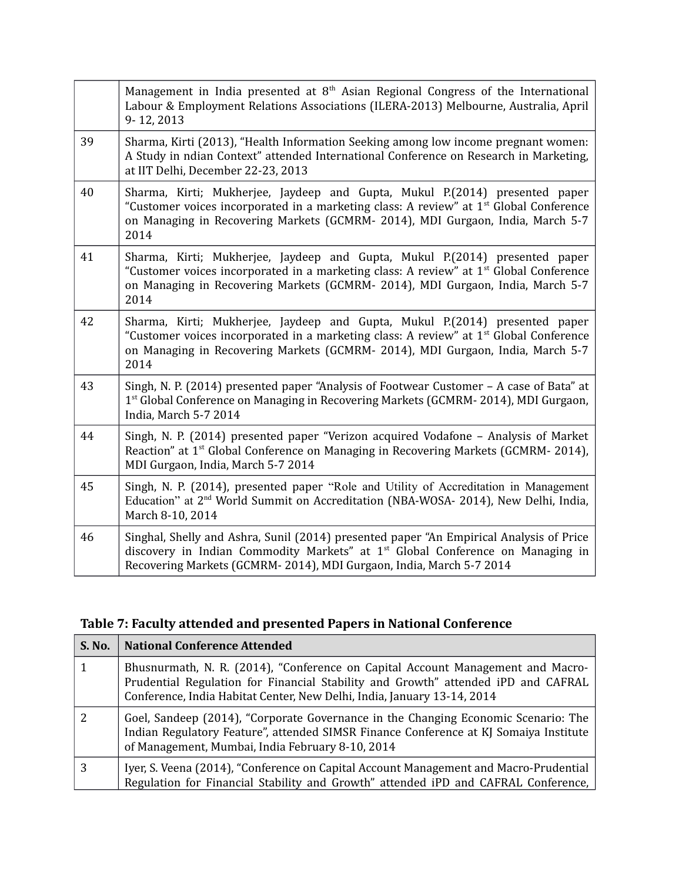|    | Management in India presented at $8th$ Asian Regional Congress of the International<br>Labour & Employment Relations Associations (ILERA-2013) Melbourne, Australia, April<br>9-12, 2013                                                                                     |
|----|------------------------------------------------------------------------------------------------------------------------------------------------------------------------------------------------------------------------------------------------------------------------------|
| 39 | Sharma, Kirti (2013), "Health Information Seeking among low income pregnant women:<br>A Study in ndian Context" attended International Conference on Research in Marketing,<br>at IIT Delhi, December 22-23, 2013                                                            |
| 40 | Sharma, Kirti; Mukherjee, Jaydeep and Gupta, Mukul P. (2014) presented paper<br>"Customer voices incorporated in a marketing class: A review" at 1 <sup>st</sup> Global Conference<br>on Managing in Recovering Markets (GCMRM- 2014), MDI Gurgaon, India, March 5-7<br>2014 |
| 41 | Sharma, Kirti; Mukherjee, Jaydeep and Gupta, Mukul P. (2014) presented paper<br>"Customer voices incorporated in a marketing class: A review" at 1 <sup>st</sup> Global Conference<br>on Managing in Recovering Markets (GCMRM- 2014), MDI Gurgaon, India, March 5-7<br>2014 |
| 42 | Sharma, Kirti; Mukherjee, Jaydeep and Gupta, Mukul P. (2014) presented paper<br>"Customer voices incorporated in a marketing class: A review" at 1 <sup>st</sup> Global Conference<br>on Managing in Recovering Markets (GCMRM- 2014), MDI Gurgaon, India, March 5-7<br>2014 |
| 43 | Singh, N. P. (2014) presented paper "Analysis of Footwear Customer - A case of Bata" at<br>1 <sup>st</sup> Global Conference on Managing in Recovering Markets (GCMRM-2014), MDI Gurgaon,<br>India, March 5-7 2014                                                           |
| 44 | Singh, N. P. (2014) presented paper "Verizon acquired Vodafone - Analysis of Market<br>Reaction" at 1 <sup>st</sup> Global Conference on Managing in Recovering Markets (GCMRM-2014),<br>MDI Gurgaon, India, March 5-7 2014                                                  |
| 45 | Singh, N. P. (2014), presented paper "Role and Utility of Accreditation in Management<br>Education" at 2 <sup>nd</sup> World Summit on Accreditation (NBA-WOSA- 2014), New Delhi, India,<br>March 8-10, 2014                                                                 |
| 46 | Singhal, Shelly and Ashra, Sunil (2014) presented paper "An Empirical Analysis of Price<br>discovery in Indian Commodity Markets" at 1 <sup>st</sup> Global Conference on Managing in<br>Recovering Markets (GCMRM-2014), MDI Gurgaon, India, March 5-7 2014                 |

## **Table 7: Faculty attended and presented Papers in National Conference**

| <b>S. No.</b> | <b>National Conference Attended</b>                                                                                                                                                                                                             |
|---------------|-------------------------------------------------------------------------------------------------------------------------------------------------------------------------------------------------------------------------------------------------|
|               | Bhusnurmath, N. R. (2014), "Conference on Capital Account Management and Macro-<br>Prudential Regulation for Financial Stability and Growth" attended iPD and CAFRAL<br>Conference, India Habitat Center, New Delhi, India, January 13-14, 2014 |
|               | Goel, Sandeep (2014), "Corporate Governance in the Changing Economic Scenario: The<br>Indian Regulatory Feature", attended SIMSR Finance Conference at KJ Somaiya Institute<br>of Management, Mumbai, India February 8-10, 2014                 |
| 3             | Iyer, S. Veena (2014), "Conference on Capital Account Management and Macro-Prudential<br>Regulation for Financial Stability and Growth" attended iPD and CAFRAL Conference,                                                                     |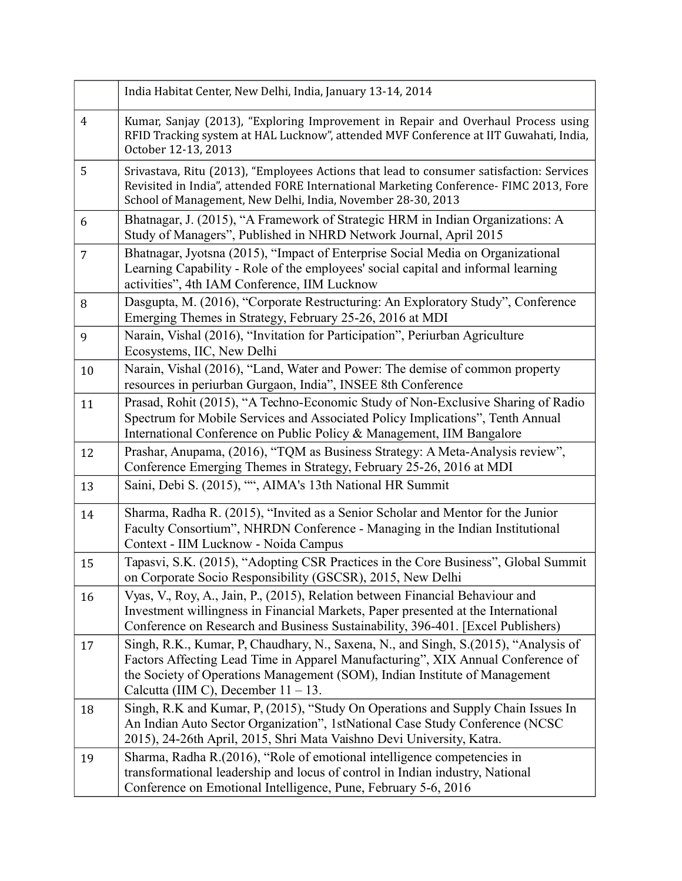|                | India Habitat Center, New Delhi, India, January 13-14, 2014                                                                                                                                                                                                                                     |
|----------------|-------------------------------------------------------------------------------------------------------------------------------------------------------------------------------------------------------------------------------------------------------------------------------------------------|
| 4              | Kumar, Sanjay (2013), "Exploring Improvement in Repair and Overhaul Process using<br>RFID Tracking system at HAL Lucknow", attended MVF Conference at IIT Guwahati, India,<br>October 12-13, 2013                                                                                               |
| 5              | Srivastava, Ritu (2013), "Employees Actions that lead to consumer satisfaction: Services<br>Revisited in India", attended FORE International Marketing Conference- FIMC 2013, Fore<br>School of Management, New Delhi, India, November 28-30, 2013                                              |
| 6              | Bhatnagar, J. (2015), "A Framework of Strategic HRM in Indian Organizations: A<br>Study of Managers", Published in NHRD Network Journal, April 2015                                                                                                                                             |
| $\overline{7}$ | Bhatnagar, Jyotsna (2015), "Impact of Enterprise Social Media on Organizational<br>Learning Capability - Role of the employees' social capital and informal learning<br>activities", 4th IAM Conference, IIM Lucknow                                                                            |
| 8              | Dasgupta, M. (2016), "Corporate Restructuring: An Exploratory Study", Conference<br>Emerging Themes in Strategy, February 25-26, 2016 at MDI                                                                                                                                                    |
| 9              | Narain, Vishal (2016), "Invitation for Participation", Periurban Agriculture<br>Ecosystems, IIC, New Delhi                                                                                                                                                                                      |
| 10             | Narain, Vishal (2016), "Land, Water and Power: The demise of common property<br>resources in periurban Gurgaon, India", INSEE 8th Conference                                                                                                                                                    |
| 11             | Prasad, Rohit (2015), "A Techno-Economic Study of Non-Exclusive Sharing of Radio<br>Spectrum for Mobile Services and Associated Policy Implications", Tenth Annual<br>International Conference on Public Policy & Management, IIM Bangalore                                                     |
| 12             | Prashar, Anupama, (2016), "TQM as Business Strategy: A Meta-Analysis review",<br>Conference Emerging Themes in Strategy, February 25-26, 2016 at MDI                                                                                                                                            |
| 13             | Saini, Debi S. (2015), "", AIMA's 13th National HR Summit                                                                                                                                                                                                                                       |
| 14             | Sharma, Radha R. (2015), "Invited as a Senior Scholar and Mentor for the Junior<br>Faculty Consortium", NHRDN Conference - Managing in the Indian Institutional<br>Context - IIM Lucknow - Noida Campus                                                                                         |
| 15             | Tapasvi, S.K. (2015), "Adopting CSR Practices in the Core Business", Global Summit<br>on Corporate Socio Responsibility (GSCSR), 2015, New Delhi                                                                                                                                                |
| 16             | Vyas, V., Roy, A., Jain, P., (2015), Relation between Financial Behaviour and<br>Investment willingness in Financial Markets, Paper presented at the International<br>Conference on Research and Business Sustainability, 396-401. [Excel Publishers]                                           |
| 17             | Singh, R.K., Kumar, P. Chaudhary, N., Saxena, N., and Singh, S. (2015), "Analysis of<br>Factors Affecting Lead Time in Apparel Manufacturing", XIX Annual Conference of<br>the Society of Operations Management (SOM), Indian Institute of Management<br>Calcutta (IIM C), December $11 - 13$ . |
| 18             | Singh, R.K and Kumar, P. (2015), "Study On Operations and Supply Chain Issues In<br>An Indian Auto Sector Organization", 1stNational Case Study Conference (NCSC)<br>2015), 24-26th April, 2015, Shri Mata Vaishno Devi University, Katra.                                                      |
| 19             | Sharma, Radha R. (2016), "Role of emotional intelligence competencies in<br>transformational leadership and locus of control in Indian industry, National<br>Conference on Emotional Intelligence, Pune, February 5-6, 2016                                                                     |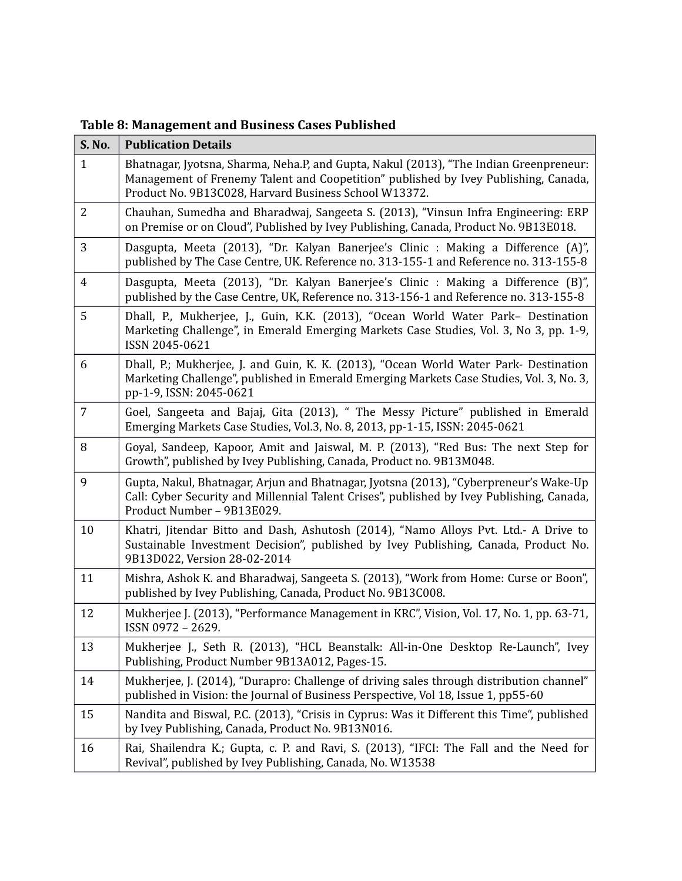**Table 8: Management and Business Cases Published** 

| S. No.         | <b>Publication Details</b>                                                                                                                                                                                                             |
|----------------|----------------------------------------------------------------------------------------------------------------------------------------------------------------------------------------------------------------------------------------|
| $\mathbf{1}$   | Bhatnagar, Jyotsna, Sharma, Neha.P, and Gupta, Nakul (2013), "The Indian Greenpreneur:<br>Management of Frenemy Talent and Coopetition" published by Ivey Publishing, Canada,<br>Product No. 9B13C028, Harvard Business School W13372. |
| 2              | Chauhan, Sumedha and Bharadwaj, Sangeeta S. (2013), "Vinsun Infra Engineering: ERP<br>on Premise or on Cloud", Published by Ivey Publishing, Canada, Product No. 9B13E018.                                                             |
| 3              | Dasgupta, Meeta (2013), "Dr. Kalyan Banerjee's Clinic : Making a Difference (A)",<br>published by The Case Centre, UK. Reference no. 313-155-1 and Reference no. 313-155-8                                                             |
| $\overline{4}$ | Dasgupta, Meeta (2013), "Dr. Kalyan Banerjee's Clinic : Making a Difference (B)",<br>published by the Case Centre, UK, Reference no. 313-156-1 and Reference no. 313-155-8                                                             |
| 5              | Dhall, P., Mukherjee, J., Guin, K.K. (2013), "Ocean World Water Park- Destination<br>Marketing Challenge", in Emerald Emerging Markets Case Studies, Vol. 3, No 3, pp. 1-9,<br>ISSN 2045-0621                                          |
| 6              | Dhall, P.; Mukherjee, J. and Guin, K. K. (2013), "Ocean World Water Park- Destination<br>Marketing Challenge", published in Emerald Emerging Markets Case Studies, Vol. 3, No. 3,<br>pp-1-9, ISSN: 2045-0621                           |
| $\overline{7}$ | Goel, Sangeeta and Bajaj, Gita (2013), " The Messy Picture" published in Emerald<br>Emerging Markets Case Studies, Vol.3, No. 8, 2013, pp-1-15, ISSN: 2045-0621                                                                        |
| 8              | Goyal, Sandeep, Kapoor, Amit and Jaiswal, M. P. (2013), "Red Bus: The next Step for<br>Growth", published by Ivey Publishing, Canada, Product no. 9B13M048.                                                                            |
| 9              | Gupta, Nakul, Bhatnagar, Arjun and Bhatnagar, Jyotsna (2013), "Cyberpreneur's Wake-Up<br>Call: Cyber Security and Millennial Talent Crises", published by Ivey Publishing, Canada,<br>Product Number - 9B13E029.                       |
| 10             | Khatri, Jitendar Bitto and Dash, Ashutosh (2014), "Namo Alloys Pvt. Ltd.- A Drive to<br>Sustainable Investment Decision", published by Ivey Publishing, Canada, Product No.<br>9B13D022, Version 28-02-2014                            |
| 11             | Mishra, Ashok K. and Bharadwaj, Sangeeta S. (2013), "Work from Home: Curse or Boon",<br>published by Ivey Publishing, Canada, Product No. 9B13C008.                                                                                    |
| 12             | Mukherjee J. (2013), "Performance Management in KRC", Vision, Vol. 17, No. 1, pp. 63-71,<br>ISSN 0972 - 2629.                                                                                                                          |
| 13             | Mukherjee J., Seth R. (2013), "HCL Beanstalk: All-in-One Desktop Re-Launch", Ivey<br>Publishing, Product Number 9B13A012, Pages-15.                                                                                                    |
| 14             | Mukherjee, J. (2014), "Durapro: Challenge of driving sales through distribution channel"<br>published in Vision: the Journal of Business Perspective, Vol 18, Issue 1, pp55-60                                                         |
| 15             | Nandita and Biswal, P.C. (2013), "Crisis in Cyprus: Was it Different this Time", published<br>by Ivey Publishing, Canada, Product No. 9B13N016.                                                                                        |
| 16             | Rai, Shailendra K.; Gupta, c. P. and Ravi, S. (2013), "IFCI: The Fall and the Need for<br>Revival", published by Ivey Publishing, Canada, No. W13538                                                                                   |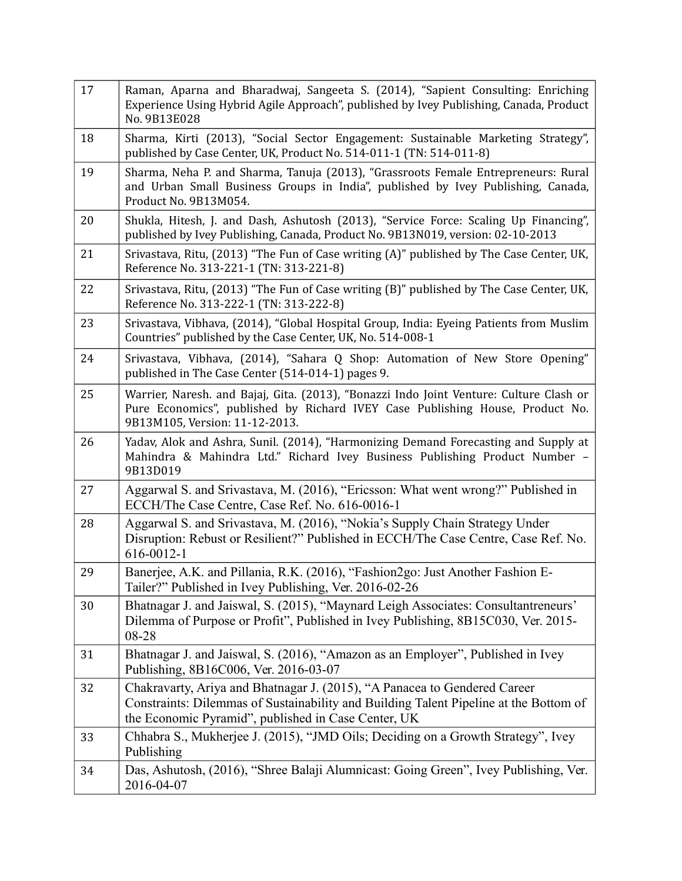| 17 | Raman, Aparna and Bharadwaj, Sangeeta S. (2014), "Sapient Consulting: Enriching<br>Experience Using Hybrid Agile Approach", published by Ivey Publishing, Canada, Product<br>No. 9B13E028                                 |
|----|---------------------------------------------------------------------------------------------------------------------------------------------------------------------------------------------------------------------------|
| 18 | Sharma, Kirti (2013), "Social Sector Engagement: Sustainable Marketing Strategy",<br>published by Case Center, UK, Product No. 514-011-1 (TN: 514-011-8)                                                                  |
| 19 | Sharma, Neha P. and Sharma, Tanuja (2013), "Grassroots Female Entrepreneurs: Rural<br>and Urban Small Business Groups in India", published by Ivey Publishing, Canada,<br>Product No. 9B13M054.                           |
| 20 | Shukla, Hitesh, J. and Dash, Ashutosh (2013), "Service Force: Scaling Up Financing",<br>published by Ivey Publishing, Canada, Product No. 9B13N019, version: 02-10-2013                                                   |
| 21 | Srivastava, Ritu, (2013) "The Fun of Case writing (A)" published by The Case Center, UK,<br>Reference No. 313-221-1 (TN: 313-221-8)                                                                                       |
| 22 | Srivastava, Ritu, (2013) "The Fun of Case writing (B)" published by The Case Center, UK,<br>Reference No. 313-222-1 (TN: 313-222-8)                                                                                       |
| 23 | Srivastava, Vibhava, (2014), "Global Hospital Group, India: Eyeing Patients from Muslim<br>Countries" published by the Case Center, UK, No. 514-008-1                                                                     |
| 24 | Srivastava, Vibhava, (2014), "Sahara Q Shop: Automation of New Store Opening"<br>published in The Case Center (514-014-1) pages 9.                                                                                        |
| 25 | Warrier, Naresh. and Bajaj, Gita. (2013), "Bonazzi Indo Joint Venture: Culture Clash or<br>Pure Economics", published by Richard IVEY Case Publishing House, Product No.<br>9B13M105, Version: 11-12-2013.                |
| 26 | Yadav, Alok and Ashra, Sunil. (2014), "Harmonizing Demand Forecasting and Supply at<br>Mahindra & Mahindra Ltd." Richard Ivey Business Publishing Product Number -<br>9B13D019                                            |
| 27 | Aggarwal S. and Srivastava, M. (2016), "Ericsson: What went wrong?" Published in<br>ECCH/The Case Centre, Case Ref. No. 616-0016-1                                                                                        |
| 28 | Aggarwal S. and Srivastava, M. (2016), "Nokia's Supply Chain Strategy Under<br>Disruption: Rebust or Resilient?" Published in ECCH/The Case Centre, Case Ref. No.<br>616-0012-1                                           |
| 29 | Banerjee, A.K. and Pillania, R.K. (2016), "Fashion2go: Just Another Fashion E-<br>Tailer?" Published in Ivey Publishing, Ver. 2016-02-26                                                                                  |
| 30 | Bhatnagar J. and Jaiswal, S. (2015), "Maynard Leigh Associates: Consultantreneurs'<br>Dilemma of Purpose or Profit", Published in Ivey Publishing, 8B15C030, Ver. 2015-<br>08-28                                          |
| 31 | Bhatnagar J. and Jaiswal, S. (2016), "Amazon as an Employer", Published in Ivey<br>Publishing, 8B16C006, Ver. 2016-03-07                                                                                                  |
| 32 | Chakravarty, Ariya and Bhatnagar J. (2015), "A Panacea to Gendered Career<br>Constraints: Dilemmas of Sustainability and Building Talent Pipeline at the Bottom of<br>the Economic Pyramid", published in Case Center, UK |
| 33 | Chhabra S., Mukherjee J. (2015), "JMD Oils; Deciding on a Growth Strategy", Ivey<br>Publishing                                                                                                                            |
| 34 | Das, Ashutosh, (2016), "Shree Balaji Alumnicast: Going Green", Ivey Publishing, Ver.<br>2016-04-07                                                                                                                        |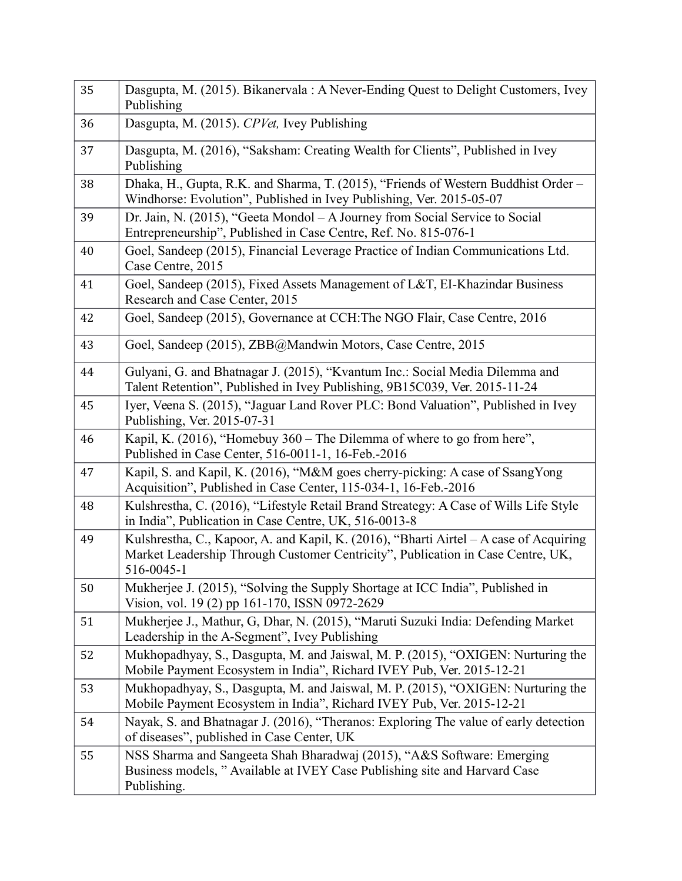| 35 | Dasgupta, M. (2015). Bikanervala: A Never-Ending Quest to Delight Customers, Ivey<br>Publishing                                                                                         |
|----|-----------------------------------------------------------------------------------------------------------------------------------------------------------------------------------------|
| 36 | Dasgupta, M. (2015). CPVet, Ivey Publishing                                                                                                                                             |
| 37 | Dasgupta, M. (2016), "Saksham: Creating Wealth for Clients", Published in Ivey<br>Publishing                                                                                            |
| 38 | Dhaka, H., Gupta, R.K. and Sharma, T. (2015), "Friends of Western Buddhist Order -<br>Windhorse: Evolution", Published in Ivey Publishing, Ver. 2015-05-07                              |
| 39 | Dr. Jain, N. (2015), "Geeta Mondol - A Journey from Social Service to Social<br>Entrepreneurship", Published in Case Centre, Ref. No. 815-076-1                                         |
| 40 | Goel, Sandeep (2015), Financial Leverage Practice of Indian Communications Ltd.<br>Case Centre, 2015                                                                                    |
| 41 | Goel, Sandeep (2015), Fixed Assets Management of L&T, EI-Khazindar Business<br>Research and Case Center, 2015                                                                           |
| 42 | Goel, Sandeep (2015), Governance at CCH: The NGO Flair, Case Centre, 2016                                                                                                               |
| 43 | Goel, Sandeep (2015), ZBB@Mandwin Motors, Case Centre, 2015                                                                                                                             |
| 44 | Gulyani, G. and Bhatnagar J. (2015), "Kvantum Inc.: Social Media Dilemma and<br>Talent Retention", Published in Ivey Publishing, 9B15C039, Ver. 2015-11-24                              |
| 45 | Iyer, Veena S. (2015), "Jaguar Land Rover PLC: Bond Valuation", Published in Ivey<br>Publishing, Ver. 2015-07-31                                                                        |
| 46 | Kapil, K. (2016), "Homebuy 360 – The Dilemma of where to go from here",<br>Published in Case Center, 516-0011-1, 16-Feb.-2016                                                           |
| 47 | Kapil, S. and Kapil, K. (2016), "M&M goes cherry-picking: A case of SsangYong<br>Acquisition", Published in Case Center, 115-034-1, 16-Feb.-2016                                        |
| 48 | Kulshrestha, C. (2016), "Lifestyle Retail Brand Streategy: A Case of Wills Life Style<br>in India", Publication in Case Centre, UK, 516-0013-8                                          |
| 49 | Kulshrestha, C., Kapoor, A. and Kapil, K. (2016), "Bharti Airtel – A case of Acquiring<br>Market Leadership Through Customer Centricity", Publication in Case Centre, UK,<br>516-0045-1 |
| 50 | Mukherjee J. (2015), "Solving the Supply Shortage at ICC India", Published in<br>Vision, vol. 19 (2) pp 161-170, ISSN 0972-2629                                                         |
| 51 | Mukherjee J., Mathur, G, Dhar, N. (2015), "Maruti Suzuki India: Defending Market<br>Leadership in the A-Segment", Ivey Publishing                                                       |
| 52 | Mukhopadhyay, S., Dasgupta, M. and Jaiswal, M. P. (2015), "OXIGEN: Nurturing the<br>Mobile Payment Ecosystem in India", Richard IVEY Pub, Ver. 2015-12-21                               |
| 53 | Mukhopadhyay, S., Dasgupta, M. and Jaiswal, M. P. (2015), "OXIGEN: Nurturing the<br>Mobile Payment Ecosystem in India", Richard IVEY Pub, Ver. 2015-12-21                               |
| 54 | Nayak, S. and Bhatnagar J. (2016), "Theranos: Exploring The value of early detection<br>of diseases", published in Case Center, UK                                                      |
| 55 | NSS Sharma and Sangeeta Shah Bharadwaj (2015), "A&S Software: Emerging<br>Business models, "Available at IVEY Case Publishing site and Harvard Case<br>Publishing.                      |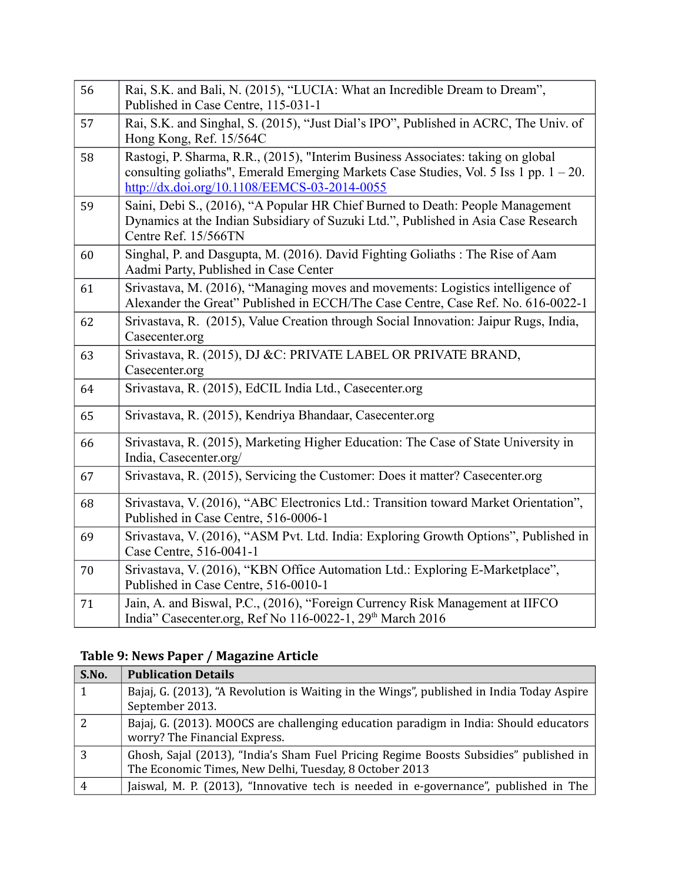| 56 | Rai, S.K. and Bali, N. (2015), "LUCIA: What an Incredible Dream to Dream",<br>Published in Case Centre, 115-031-1                                                                                                         |
|----|---------------------------------------------------------------------------------------------------------------------------------------------------------------------------------------------------------------------------|
| 57 | Rai, S.K. and Singhal, S. (2015), "Just Dial's IPO", Published in ACRC, The Univ. of<br>Hong Kong, Ref. 15/564C                                                                                                           |
| 58 | Rastogi, P. Sharma, R.R., (2015), "Interim Business Associates: taking on global<br>consulting goliaths", Emerald Emerging Markets Case Studies, Vol. 5 Iss 1 pp. 1 - 20.<br>http://dx.doi.org/10.1108/EEMCS-03-2014-0055 |
| 59 | Saini, Debi S., (2016), "A Popular HR Chief Burned to Death: People Management<br>Dynamics at the Indian Subsidiary of Suzuki Ltd.", Published in Asia Case Research<br>Centre Ref. 15/566TN                              |
| 60 | Singhal, P. and Dasgupta, M. (2016). David Fighting Goliaths: The Rise of Aam<br>Aadmi Party, Published in Case Center                                                                                                    |
| 61 | Srivastava, M. (2016), "Managing moves and movements: Logistics intelligence of<br>Alexander the Great" Published in ECCH/The Case Centre, Case Ref. No. 616-0022-1                                                       |
| 62 | Srivastava, R. (2015), Value Creation through Social Innovation: Jaipur Rugs, India,<br>Casecenter.org                                                                                                                    |
| 63 | Srivastava, R. (2015), DJ &C: PRIVATE LABEL OR PRIVATE BRAND,<br>Casecenter.org                                                                                                                                           |
| 64 | Srivastava, R. (2015), EdCIL India Ltd., Casecenter.org                                                                                                                                                                   |
| 65 | Srivastava, R. (2015), Kendriya Bhandaar, Casecenter.org                                                                                                                                                                  |
| 66 | Srivastava, R. (2015), Marketing Higher Education: The Case of State University in<br>India, Casecenter.org/                                                                                                              |
| 67 | Srivastava, R. (2015), Servicing the Customer: Does it matter? Casecenter.org                                                                                                                                             |
| 68 | Srivastava, V. (2016), "ABC Electronics Ltd.: Transition toward Market Orientation",<br>Published in Case Centre, 516-0006-1                                                                                              |
| 69 | Srivastava, V. (2016), "ASM Pvt. Ltd. India: Exploring Growth Options", Published in<br>Case Centre, 516-0041-1                                                                                                           |
| 70 | Srivastava, V. (2016), "KBN Office Automation Ltd.: Exploring E-Marketplace",<br>Published in Case Centre, 516-0010-1                                                                                                     |
| 71 | Jain, A. and Biswal, P.C., (2016), "Foreign Currency Risk Management at IIFCO<br>India" Casecenter.org, Ref No 116-0022-1, 29 <sup>th</sup> March 2016                                                                    |

# **Table 9: News Paper / Magazine Article**

| S.No. | <b>Publication Details</b>                                                                                                                      |
|-------|-------------------------------------------------------------------------------------------------------------------------------------------------|
|       | Bajaj, G. (2013), "A Revolution is Waiting in the Wings", published in India Today Aspire<br>September 2013.                                    |
| 2     | Bajaj, G. (2013). MOOCS are challenging education paradigm in India: Should educators<br>worry? The Financial Express.                          |
| 3     | Ghosh, Sajal (2013), "India's Sham Fuel Pricing Regime Boosts Subsidies" published in<br>The Economic Times, New Delhi, Tuesday, 8 October 2013 |
| 4     | Jaiswal, M. P. (2013), "Innovative tech is needed in e-governance", published in The                                                            |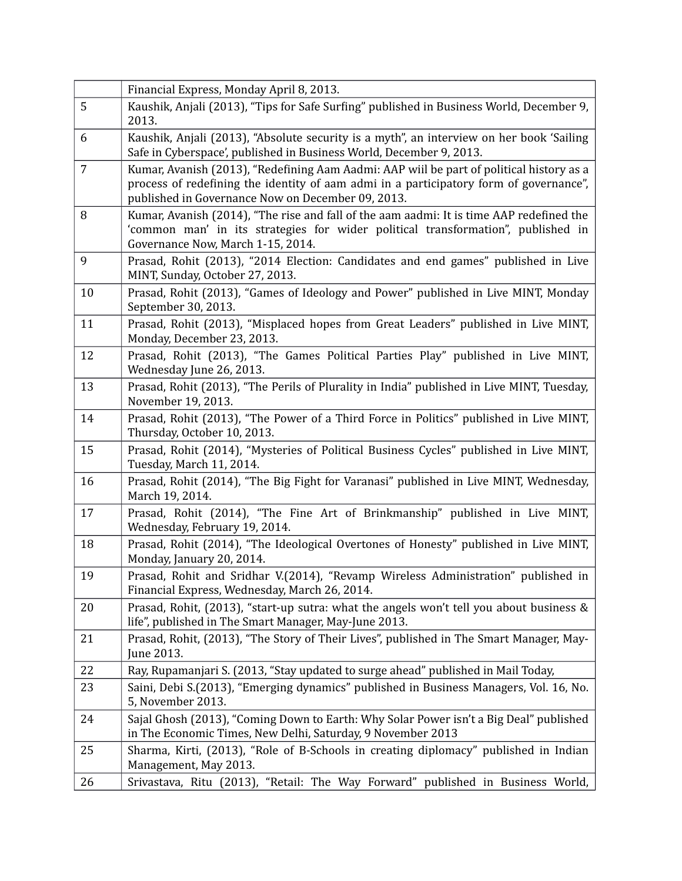|                | Financial Express, Monday April 8, 2013.                                                                                                                                                                                                |
|----------------|-----------------------------------------------------------------------------------------------------------------------------------------------------------------------------------------------------------------------------------------|
| 5              | Kaushik, Anjali (2013), "Tips for Safe Surfing" published in Business World, December 9,<br>2013.                                                                                                                                       |
| 6              | Kaushik, Anjali (2013), "Absolute security is a myth", an interview on her book 'Sailing<br>Safe in Cyberspace', published in Business World, December 9, 2013.                                                                         |
| $\overline{7}$ | Kumar, Avanish (2013), "Redefining Aam Aadmi: AAP wiil be part of political history as a<br>process of redefining the identity of aam admi in a participatory form of governance",<br>published in Governance Now on December 09, 2013. |
| 8              | Kumar, Avanish (2014), "The rise and fall of the aam aadmi: It is time AAP redefined the<br>'common man' in its strategies for wider political transformation", published in<br>Governance Now, March 1-15, 2014.                       |
| 9              | Prasad, Rohit (2013), "2014 Election: Candidates and end games" published in Live<br>MINT, Sunday, October 27, 2013.                                                                                                                    |
| 10             | Prasad, Rohit (2013), "Games of Ideology and Power" published in Live MINT, Monday<br>September 30, 2013.                                                                                                                               |
| 11             | Prasad, Rohit (2013), "Misplaced hopes from Great Leaders" published in Live MINT,<br>Monday, December 23, 2013.                                                                                                                        |
| 12             | Prasad, Rohit (2013), "The Games Political Parties Play" published in Live MINT,<br>Wednesday June 26, 2013.                                                                                                                            |
| 13             | Prasad, Rohit (2013), "The Perils of Plurality in India" published in Live MINT, Tuesday,<br>November 19, 2013.                                                                                                                         |
| 14             | Prasad, Rohit (2013), "The Power of a Third Force in Politics" published in Live MINT,<br>Thursday, October 10, 2013.                                                                                                                   |
| 15             | Prasad, Rohit (2014), "Mysteries of Political Business Cycles" published in Live MINT,<br>Tuesday, March 11, 2014.                                                                                                                      |
| 16             | Prasad, Rohit (2014), "The Big Fight for Varanasi" published in Live MINT, Wednesday,<br>March 19, 2014.                                                                                                                                |
| 17             | Prasad, Rohit (2014), "The Fine Art of Brinkmanship" published in Live MINT,<br>Wednesday, February 19, 2014.                                                                                                                           |
| 18             | Prasad, Rohit (2014), "The Ideological Overtones of Honesty" published in Live MINT,<br>Monday, January 20, 2014.                                                                                                                       |
| 19             | Prasad, Rohit and Sridhar V.(2014), "Revamp Wireless Administration" published in<br>Financial Express, Wednesday, March 26, 2014.                                                                                                      |
| 20             | Prasad, Rohit, (2013), "start-up sutra: what the angels won't tell you about business &<br>life", published in The Smart Manager, May-June 2013.                                                                                        |
| 21             | Prasad, Rohit, (2013), "The Story of Their Lives", published in The Smart Manager, May-<br>June 2013.                                                                                                                                   |
| 22             | Ray, Rupamanjari S. (2013, "Stay updated to surge ahead" published in Mail Today,                                                                                                                                                       |
| 23             | Saini, Debi S.(2013), "Emerging dynamics" published in Business Managers, Vol. 16, No.<br>5, November 2013.                                                                                                                             |
| 24             | Sajal Ghosh (2013), "Coming Down to Earth: Why Solar Power isn't a Big Deal" published<br>in The Economic Times, New Delhi, Saturday, 9 November 2013                                                                                   |
| 25             | Sharma, Kirti, (2013), "Role of B-Schools in creating diplomacy" published in Indian<br>Management, May 2013.                                                                                                                           |
| 26             | Srivastava, Ritu (2013), "Retail: The Way Forward" published in Business World,                                                                                                                                                         |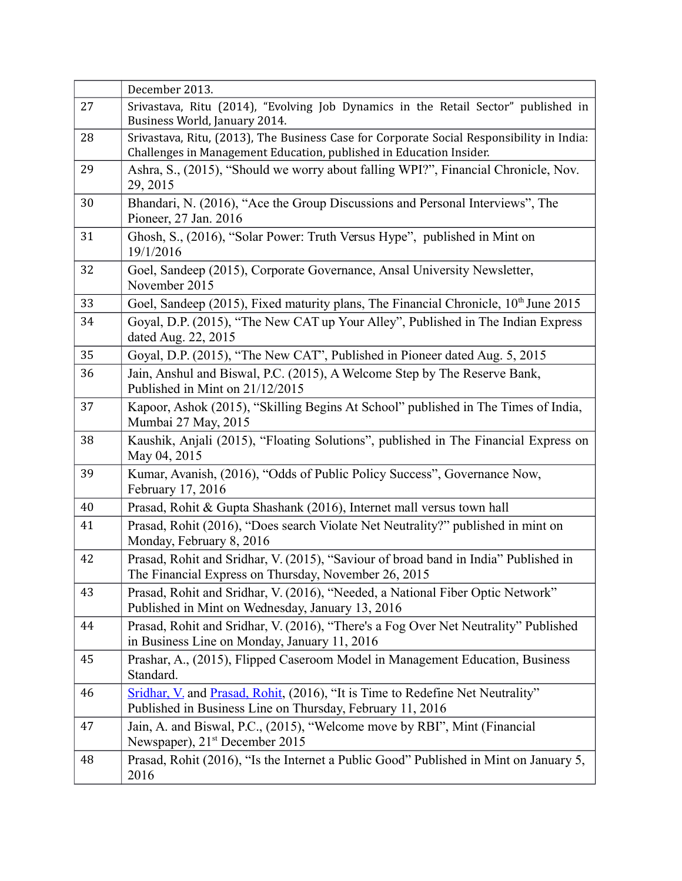|    | December 2013.                                                                                                                                                   |
|----|------------------------------------------------------------------------------------------------------------------------------------------------------------------|
| 27 | Srivastava, Ritu (2014), "Evolving Job Dynamics in the Retail Sector" published in<br>Business World, January 2014.                                              |
| 28 | Srivastava, Ritu, (2013), The Business Case for Corporate Social Responsibility in India:<br>Challenges in Management Education, published in Education Insider. |
| 29 | Ashra, S., (2015), "Should we worry about falling WPI?", Financial Chronicle, Nov.<br>29, 2015                                                                   |
| 30 | Bhandari, N. (2016), "Ace the Group Discussions and Personal Interviews", The<br>Pioneer, 27 Jan. 2016                                                           |
| 31 | Ghosh, S., (2016), "Solar Power: Truth Versus Hype", published in Mint on<br>19/1/2016                                                                           |
| 32 | Goel, Sandeep (2015), Corporate Governance, Ansal University Newsletter,<br>November 2015                                                                        |
| 33 | Goel, Sandeep (2015), Fixed maturity plans, The Financial Chronicle, 10 <sup>th</sup> June 2015                                                                  |
| 34 | Goyal, D.P. (2015), "The New CAT up Your Alley", Published in The Indian Express<br>dated Aug. 22, 2015                                                          |
| 35 | Goyal, D.P. (2015), "The New CAT", Published in Pioneer dated Aug. 5, 2015                                                                                       |
| 36 | Jain, Anshul and Biswal, P.C. (2015), A Welcome Step by The Reserve Bank,<br>Published in Mint on 21/12/2015                                                     |
| 37 | Kapoor, Ashok (2015), "Skilling Begins At School" published in The Times of India,<br>Mumbai 27 May, 2015                                                        |
| 38 | Kaushik, Anjali (2015), "Floating Solutions", published in The Financial Express on<br>May 04, 2015                                                              |
| 39 | Kumar, Avanish, (2016), "Odds of Public Policy Success", Governance Now,<br>February 17, 2016                                                                    |
| 40 | Prasad, Rohit & Gupta Shashank (2016), Internet mall versus town hall                                                                                            |
| 41 | Prasad, Rohit (2016), "Does search Violate Net Neutrality?" published in mint on<br>Monday, February 8, 2016                                                     |
| 42 | Prasad, Rohit and Sridhar, V. (2015), "Saviour of broad band in India" Published in<br>The Financial Express on Thursday, November 26, 2015                      |
| 43 | Prasad, Rohit and Sridhar, V. (2016), "Needed, a National Fiber Optic Network"<br>Published in Mint on Wednesday, January 13, 2016                               |
| 44 | Prasad, Rohit and Sridhar, V. (2016), "There's a Fog Over Net Neutrality" Published<br>in Business Line on Monday, January 11, 2016                              |
| 45 | Prashar, A., (2015), Flipped Caseroom Model in Management Education, Business<br>Standard.                                                                       |
| 46 | Sridhar, V. and Prasad, Rohit, (2016), "It is Time to Redefine Net Neutrality"<br>Published in Business Line on Thursday, February 11, 2016                      |
| 47 | Jain, A. and Biswal, P.C., (2015), "Welcome move by RBI", Mint (Financial<br>Newspaper), 21 <sup>st</sup> December 2015                                          |
| 48 | Prasad, Rohit (2016), "Is the Internet a Public Good" Published in Mint on January 5,<br>2016                                                                    |